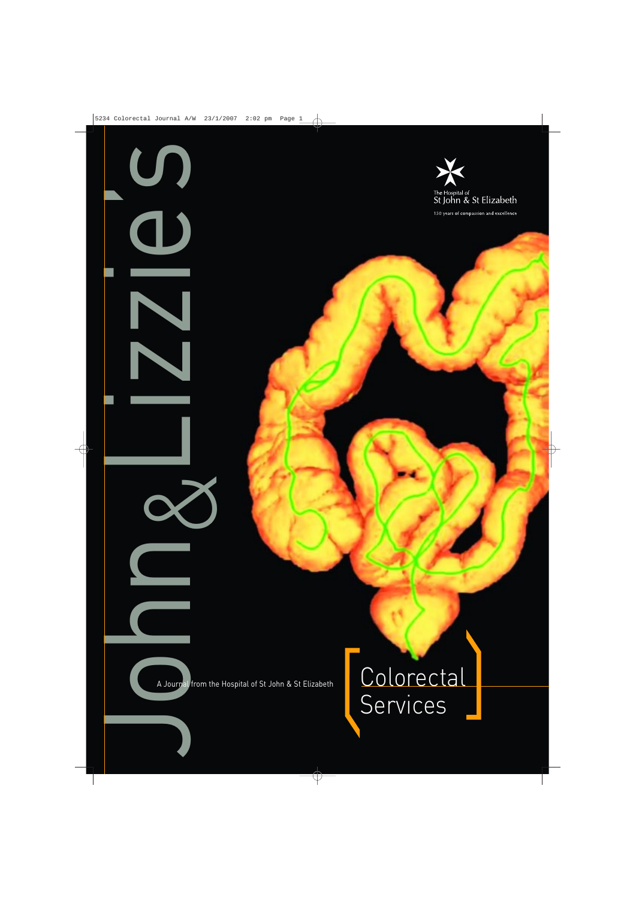

150 years of compassion and excellence

John Lizzie's & A Journal from the Hospital of St John & St Elizabeth

U.

 $\bigcup$ 

N

 $\overline{\phantom{a}}$ 

### Colorectal Services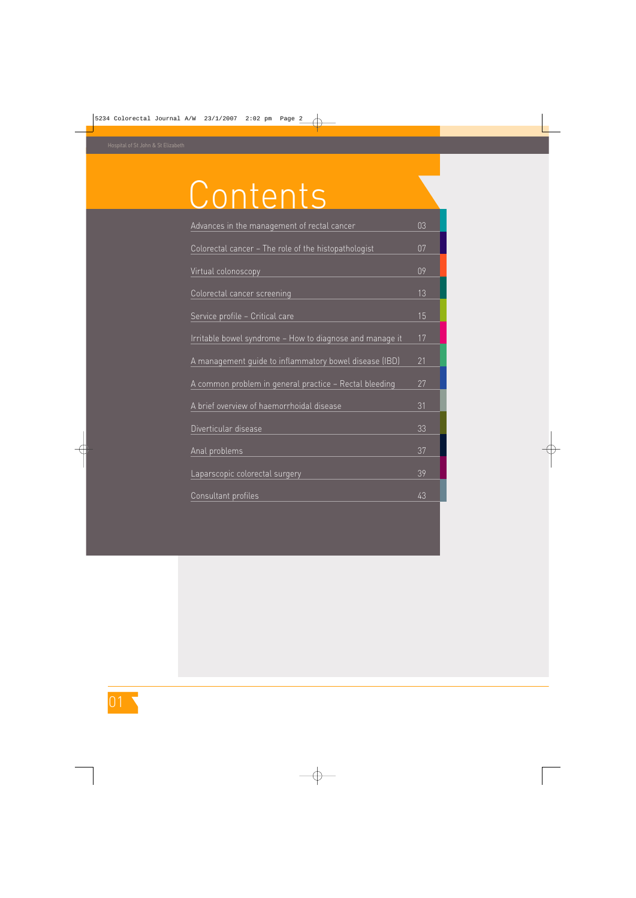# Contents

| Advances in the management of rectal cancer              | 03 |
|----------------------------------------------------------|----|
| Colorectal cancer - The role of the histopathologist     | 07 |
| Virtual colonoscopy                                      | 09 |
| Colorectal cancer screening                              | 13 |
| Service profile - Critical care                          | 15 |
| Irritable bowel syndrome - How to diagnose and manage it | 17 |
| A management quide to inflammatory bowel disease (IBD)   | 21 |
| A common problem in general practice – Rectal bleeding   | 27 |
| A brief overview of haemorrhoidal disease                | 31 |
| Diverticular disease                                     | 33 |
| Anal problems                                            | 37 |
| Laparscopic colorectal surgery                           | 39 |
| Consultant profiles                                      | 43 |
|                                                          |    |

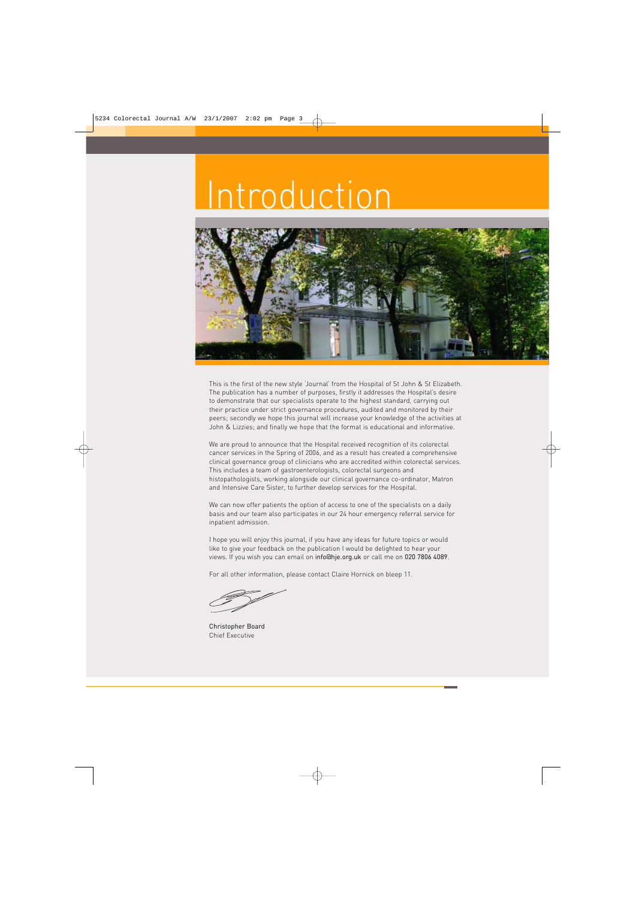## Introduction



This is the first of the new style 'Journal' from the Hospital of St John & St Elizabeth. The publication has a number of purposes, firstly it addresses the Hospital's desire to demonstrate that our specialists operate to the highest standard, carrying out their practice under strict governance procedures, audited and monitored by their peers; secondly we hope this journal will increase your knowledge of the activities at John & Lizzies; and finally we hope that the format is educational and informative.

We are proud to announce that the Hospital received recognition of its colorectal cancer services in the Spring of 2006, and as a result has created a comprehensive clinical governance group of clinicians who are accredited within colorectal services. This includes a team of gastroenterologists, colorectal surgeons and histopathologists, working alongside our clinical governance co-ordinator, Matron and Intensive Care Sister, to further develop services for the Hospital.

We can now offer patients the option of access to one of the specialists on a daily basis and our team also participates in our 24 hour emergency referral service for inpatient admission.

I hope you will enjoy this journal, if you have any ideas for future topics or would like to give your feedback on the publication I would be delighted to hear your views. If you wish you can email on info@hje.org.uk or call me on 020 7806 4089.

For all other information, please contact Claire Hornick on bleep 11.

Christopher Board Chief Executive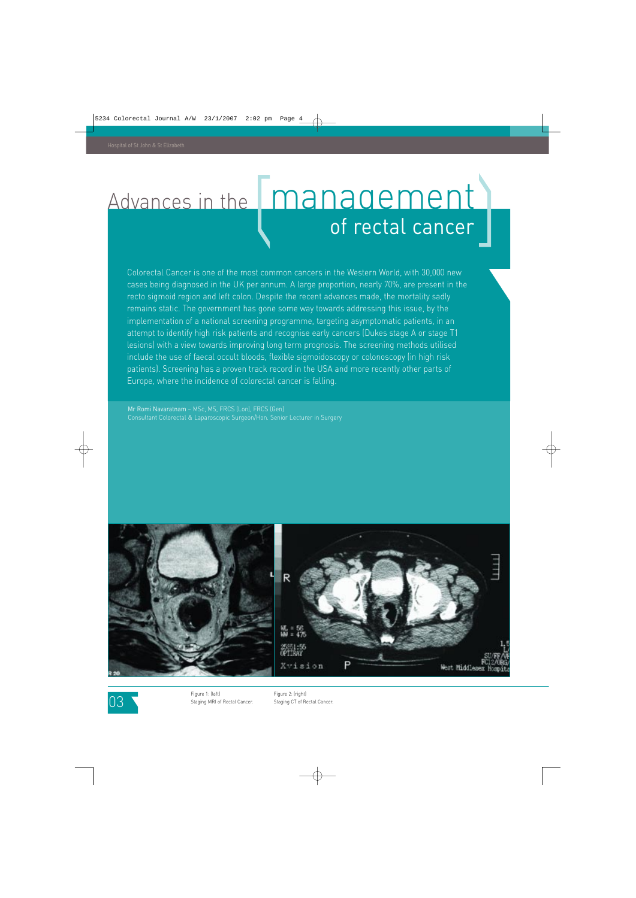### Advances in the **management** of rectal cancer

Colorectal Cancer is one of the most common cancers in the Western World, with 30,000 new cases being diagnosed in the UK per annum. A large proportion, nearly 70%, are present in the recto sigmoid region and left colon. Despite the recent advances made, the mortality sadly remains static. The government has gone some way towards addressing this issue, by the implementation of a national screening programme, targeting asymptomatic patients, in an attempt to identify high risk patients and recognise early cancers (Dukes stage A or stage T1 lesions) with a view towards improving long term prognosis. The screening methods utilised include the use of faecal occult bloods, flexible sigmoidoscopy or colonoscopy (in high risk patients). Screening has a proven track record in the USA and more recently other parts of Europe, where the incidence of colorectal cancer is falling.

Mr Romi Navaratnam – MSc, MS, FRCS (Lon), FRCS (Gen) Consultant Colorectal & Laparoscopic Surgeon/Hon. Senior Lecturer in Surgery





03

Figure 1: (left) Staging MRI of Rectal Cancer. Figure 2: (right) Staging CT of Rectal Cancer.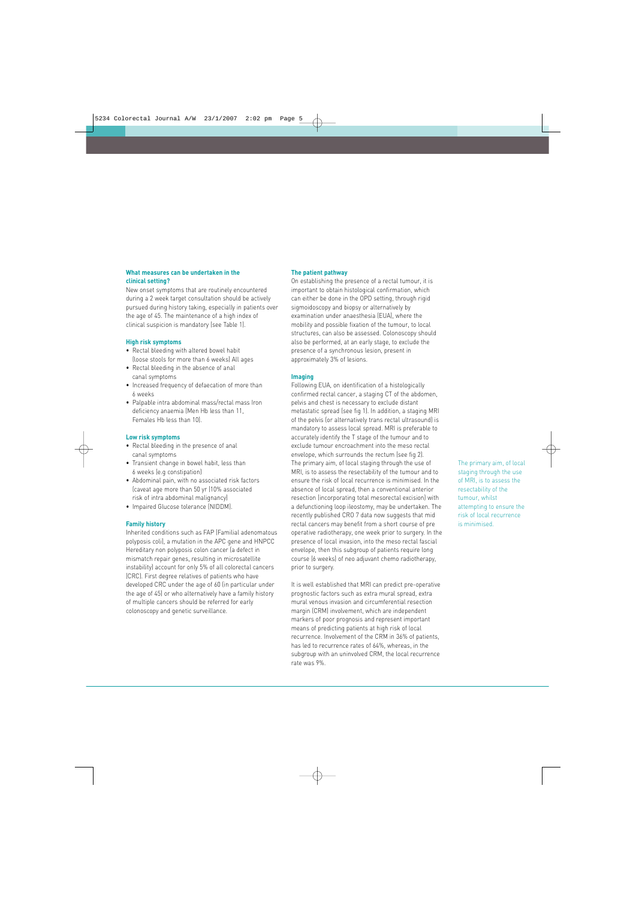#### **What measures can be undertaken in the clinical setting?**

New onset symptoms that are routinely encountered during a 2 week target consultation should be actively pursued during history taking, especially in patients over the age of 45. The maintenance of a high index of clinical suspicion is mandatory (see Table 1).

#### **High risk symptoms**

- Rectal bleeding with altered bowel habit (loose stools for more than 6 weeks) All ages
- Rectal bleeding in the absence of anal canal symptoms
- Increased frequency of defaecation of more than 6 weeks
- Palpable intra abdominal mass/rectal mass Iron deficiency anaemia (Men Hb less than 11, Females Hb less than 10).

#### **Low risk symptoms**

- Rectal bleeding in the presence of anal canal symptoms
- Transient change in bowel habit, less than 6 weeks (e.g constipation)
- Abdominal pain, with no associated risk factors (caveat age more than 50 yr (10% associated risk of intra abdominal malignancy)
- Impaired Glucose tolerance (NIDDM).

#### **Family history**

Inherited conditions such as FAP (Familial adenomatous polyposis coli), a mutation in the APC gene and HNPCC Hereditary non polyposis colon cancer (a defect in mismatch repair genes, resulting in microsatellite instability) account for only 5% of all colorectal cancers (CRC). First degree relatives of patients who have developed CRC under the age of 60 (in particular under the age of 45) or who alternatively have a family history of multiple cancers should be referred for early colonoscopy and genetic surveillance.

#### **The patient pathway**

On establishing the presence of a rectal tumour, it is important to obtain histological confirmation, which can either be done in the OPD setting, through rigid sigmoidoscopy and biopsy or alternatively by examination under anaesthesia (EUA), where the mobility and possible fixation of the tumour, to local structures, can also be assessed. Colonoscopy should also be performed, at an early stage, to exclude the presence of a synchronous lesion, present in approximately 3% of lesions.

#### **Imaging**

Following EUA, on identification of a histologically confirmed rectal cancer, a staging CT of the abdomen, pelvis and chest is necessary to exclude distant metastatic spread (see fig 1). In addition, a staging MRI of the pelvis (or alternatively trans rectal ultrasound) is mandatory to assess local spread. MRI is preferable to accurately identify the T stage of the tumour and to exclude tumour encroachment into the meso rectal envelope, which surrounds the rectum (see fig 2). The primary aim, of local staging through the use of MRI, is to assess the resectability of the tumour and to ensure the risk of local recurrence is minimised. In the absence of local spread, then a conventional anterior resection (incorporating total mesorectal excision) with a defunctioning loop ileostomy, may be undertaken. The recently published CRO 7 data now suggests that mid rectal cancers may benefit from a short course of pre operative radiotherapy, one week prior to surgery. In the presence of local invasion, into the meso rectal fascial envelope, then this subgroup of patients require long course (6 weeks) of neo adjuvant chemo radiotherapy, prior to surgery.

It is well established that MRI can predict pre-operative prognostic factors such as extra mural spread, extra mural venous invasion and circumferential resection margin (CRM) involvement, which are independent markers of poor prognosis and represent important means of predicting patients at high risk of local recurrence. Involvement of the CRM in 36% of patients, has led to recurrence rates of 64%, whereas, in the subgroup with an uninvolved CRM, the local recurrence rate was 9%.

The primary aim, of local staging through the use of MRI, is to assess the resectability of the tumour, whilst attempting to ensure the risk of local recurrence is minimised.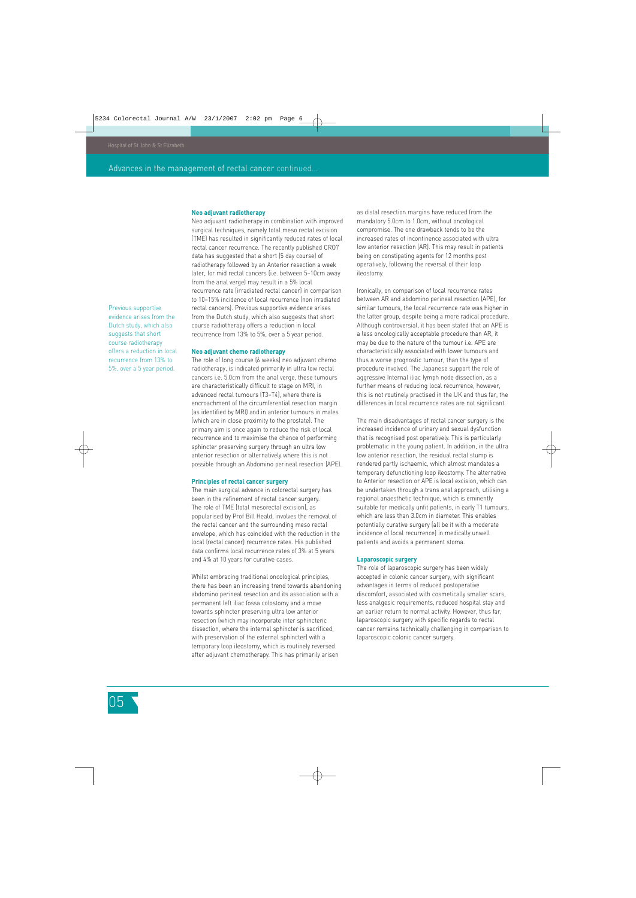#### **Neo adjuvant radiotherapy**

Neo adjuvant radiotherapy in combination with improved surgical techniques, namely total meso rectal excision (TME) has resulted in significantly reduced rates of local rectal cancer recurrence. The recently published CRO7 data has suggested that a short (5 day course) of radiotherapy followed by an Anterior resection a week later, for mid rectal cancers (i.e. between 5–10cm away from the anal verge) may result in a 5% local recurrence rate (irradiated rectal cancer) in comparison to 10–15% incidence of local recurrence (non irradiated rectal cancers). Previous supportive evidence arises from the Dutch study, which also suggests that short course radiotherapy offers a reduction in local recurrence from 13% to 5%, over a 5 year period.

#### **Neo adjuvant chemo radiotherapy**

The role of long course (6 weeks) neo adjuvant chemo radiotherapy, is indicated primarily in ultra low rectal cancers i.e. 5.0cm from the anal verge, these tumours are characteristically difficult to stage on MRI, in advanced rectal tumours (T3–T4), where there is encroachment of the circumferential resection margin (as identified by MRI) and in anterior tumours in males (which are in close proximity to the prostate). The primary aim is once again to reduce the risk of local recurrence and to maximise the chance of performing sphincter preserving surgery through an ultra low anterior resection or alternatively where this is not possible through an Abdomino perineal resection (APE).

#### **Principles of rectal cancer surgery**

The main surgical advance in colorectal surgery has been in the refinement of rectal cancer surgery. The role of TME (total mesorectal excision), as popularised by Prof Bill Heald, involves the removal of the rectal cancer and the surrounding meso rectal envelope, which has coincided with the reduction in the local (rectal cancer) recurrence rates. His published data confirms local recurrence rates of 3% at 5 years and 4% at 10 years for curative cases.

Whilst embracing traditional oncological principles, there has been an increasing trend towards abandoning abdomino perineal resection and its association with a permanent left iliac fossa colostomy and a move towards sphincter preserving ultra low anterior resection (which may incorporate inter sphincteric dissection, where the internal sphincter is sacrificed, with preservation of the external sphincter) with a temporary loop ileostomy, which is routinely reversed after adjuvant chemotherapy. This has primarily arisen

as distal resection margins have reduced from the mandatory 5.0cm to 1.0cm, without oncological compromise. The one drawback tends to be the increased rates of incontinence associated with ultra low anterior resection (AR). This may result in patients being on constipating agents for 12 months post operatively, following the reversal of their loop ileostomy.

Ironically, on comparison of local recurrence rates between AR and abdomino perineal resection (APE), for similar tumours, the local recurrence rate was higher in the latter group, despite being a more radical procedure. Although controversial, it has been stated that an APE is a less oncologically acceptable procedure than AR, it may be due to the nature of the tumour i.e. APE are characteristically associated with lower tumours and thus a worse prognostic tumour, than the type of procedure involved. The Japanese support the role of aggressive Internal iliac lymph node dissection, as a further means of reducing local recurrence, however, this is not routinely practised in the UK and thus far, the differences in local recurrence rates are not significant.

The main disadvantages of rectal cancer surgery is the increased incidence of urinary and sexual dysfunction that is recognised post operatively. This is particularly problematic in the young patient. In addition, in the ultra low anterior resection, the residual rectal stump is rendered partly ischaemic, which almost mandates a temporary defunctioning loop ileostomy. The alternative to Anterior resection or APE is local excision, which can be undertaken through a trans anal approach, utilising a regional anaesthetic technique, which is eminently suitable for medically unfit patients, in early T1 tumours, which are less than 3.0cm in diameter. This enables potentially curative surgery (all be it with a moderate incidence of local recurrence) in medically unwell patients and avoids a permanent stoma.

#### **Laparoscopic surgery**

The role of laparoscopic surgery has been widely accepted in colonic cancer surgery, with significant advantages in terms of reduced postoperative discomfort, associated with cosmetically smaller scars, less analgesic requirements, reduced hospital stay and an earlier return to normal activity. However, thus far, laparoscopic surgery with specific regards to rectal cancer remains technically challenging in comparison to laparoscopic colonic cancer surgery.

Previous supportive evidence arises from the Dutch study, which also suggests that short course radiotherapy offers a reduction in local recurrence from 13% to 5%, over a 5 year period.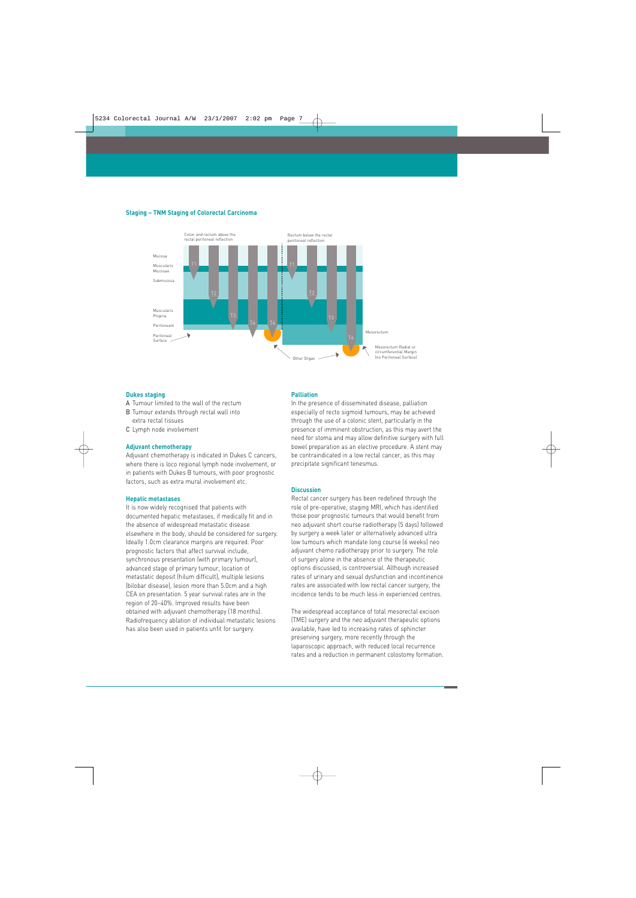#### **Staging – TNM Staging of Colorectal Carcinoma**



#### **Dukes staging**

- A Tumour limited to the wall of the rectum
- B Tumour extends through rectal wall into extra rectal tissues
- C Lymph node involvement

#### **Adjuvant chemotherapy**

Adjuvant chemotherapy is indicated in Dukes C cancers, where there is loco regional lymph node involvement, or in patients with Dukes B tumours, with poor prognostic factors, such as extra mural involvement etc.

#### **Hepatic metastases**

It is now widely recognised that patients with documented hepatic metastases, if medically fit and in the absence of widespread metastatic disease elsewhere in the body, should be considered for surgery. Ideally 1.0cm clearance margins are required. Poor prognostic factors that affect survival include, synchronous presentation (with primary tumour), advanced stage of primary tumour, location of metastatic deposit (hilum difficult), multiple lesions (bilobar disease), lesion more than 5.0cm and a high CEA on presentation. 5 year survival rates are in the region of 20–40%. Improved results have been obtained with adjuvant chemotherapy (18 months). Radiofrequency ablation of individual metastatic lesions has also been used in patients unfit for surgery.

#### **Palliation**

In the presence of disseminated disease, palliation especially of recto sigmoid tumours, may be achieved through the use of a colonic stent, particularly in the presence of imminent obstruction, as this may avert the need for stoma and may allow definitive surgery with full bowel preparation as an elective procedure. A stent may be contraindicated in a low rectal cancer, as this may precipitate significant tenesmus.

#### **Discussion**

Rectal cancer surgery has been redefined through the role of pre-operative, staging MRI, which has identified those poor prognostic tumours that would benefit from neo adjuvant short course radiotherapy (5 days) followed by surgery a week later or alternatively advanced ultra low tumours which mandate long course (6 weeks) neo adjuvant chemo radiotherapy prior to surgery. The role of surgery alone in the absence of the therapeutic options discussed, is controversial. Although increased rates of urinary and sexual dysfunction and incontinence rates are associated with low rectal cancer surgery, the incidence tends to be much less in experienced centres.

The widespread acceptance of total mesorectal excison (TME) surgery and the neo adjuvant therapeutic options available, have led to increasing rates of sphincter preserving surgery, more recently through the laparoscopic approach, with reduced local recurrence rates and a reduction in permanent colostomy formation.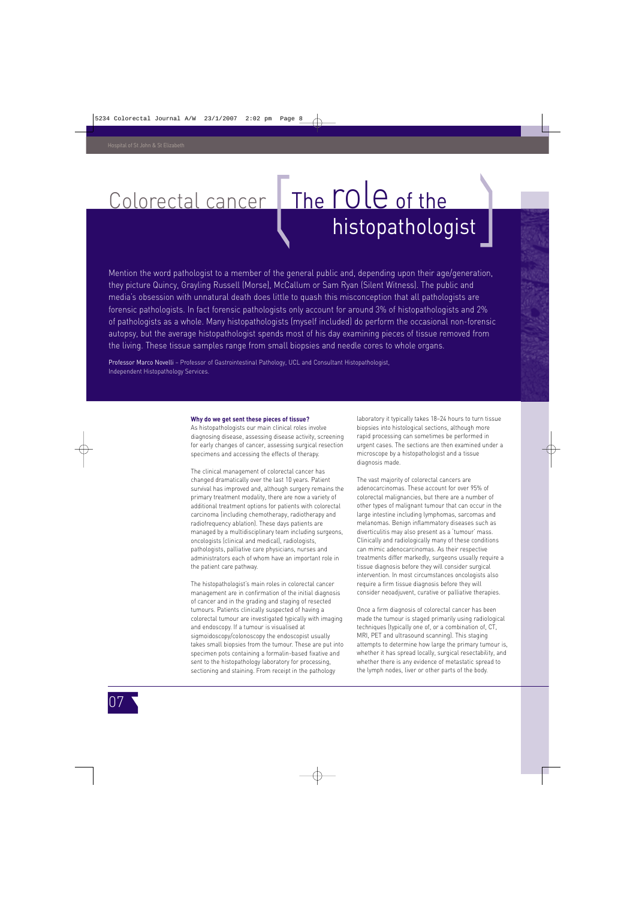### Colorectal cancer The role of the histopathologist

Mention the word pathologist to a member of the general public and, depending upon their age/generation, they picture Quincy, Grayling Russell (Morse), McCallum or Sam Ryan (Silent Witness). The public and media's obsession with unnatural death does little to quash this misconception that all pathologists are forensic pathologists. In fact forensic pathologists only account for around 3% of histopathologists and 2% of pathologists as a whole. Many histopathologists (myself included) do perform the occasional non-forensic autopsy, but the average histopathologist spends most of his day examining pieces of tissue removed from the living. These tissue samples range from small biopsies and needle cores to whole organs.

Professor Marco Novelli – Professor of Gastrointestinal Pathology, UCL and Consultant Histopathologist, Independent Histopathology Services.

#### **Why do we get sent these pieces of tissue?**

As histopathologists our main clinical roles involve diagnosing disease, assessing disease activity, screening for early changes of cancer, assessing surgical resection specimens and accessing the effects of therapy.

The clinical management of colorectal cancer has changed dramatically over the last 10 years. Patient survival has improved and, although surgery remains the primary treatment modality, there are now a variety of additional treatment options for patients with colorectal carcinoma (including chemotherapy, radiotherapy and radiofrequency ablation). These days patients are managed by a multidisciplinary team including surgeons, oncologists (clinical and medical), radiologists, pathologists, palliative care physicians, nurses and administrators each of whom have an important role in the patient care pathway.

The histopathologist's main roles in colorectal cancer management are in confirmation of the initial diagnosis of cancer and in the grading and staging of resected tumours. Patients clinically suspected of having a colorectal tumour are investigated typically with imaging and endoscopy. If a tumour is visualised at sigmoidoscopy/colonoscopy the endoscopist usually takes small biopsies from the tumour. These are put into specimen pots containing a formalin-based fixative and sent to the histopathology laboratory for processing, sectioning and staining. From receipt in the pathology

laboratory it typically takes 18–24 hours to turn tissue biopsies into histological sections, although more rapid processing can sometimes be performed in urgent cases. The sections are then examined under a microscope by a histopathologist and a tissue diagnosis made.

The vast majority of colorectal cancers are adenocarcinomas. These account for over 95% of colorectal malignancies, but there are a number of other types of malignant tumour that can occur in the large intestine including lymphomas, sarcomas and melanomas. Benign inflammatory diseases such as diverticulitis may also present as a 'tumour' mass. Clinically and radiologically many of these conditions can mimic adenocarcinomas. As their respective treatments differ markedly, surgeons usually require a tissue diagnosis before they will consider surgical intervention. In most circumstances oncologists also require a firm tissue diagnosis before they will consider neoadjuvent, curative or palliative therapies.

Once a firm diagnosis of colorectal cancer has been made the tumour is staged primarily using radiological techniques (typically one of, or a combination of, CT, MRI, PET and ultrasound scanning). This staging attempts to determine how large the primary tumour is, whether it has spread locally, surgical resectability, and whether there is any evidence of metastatic spread to the lymph nodes, liver or other parts of the body.

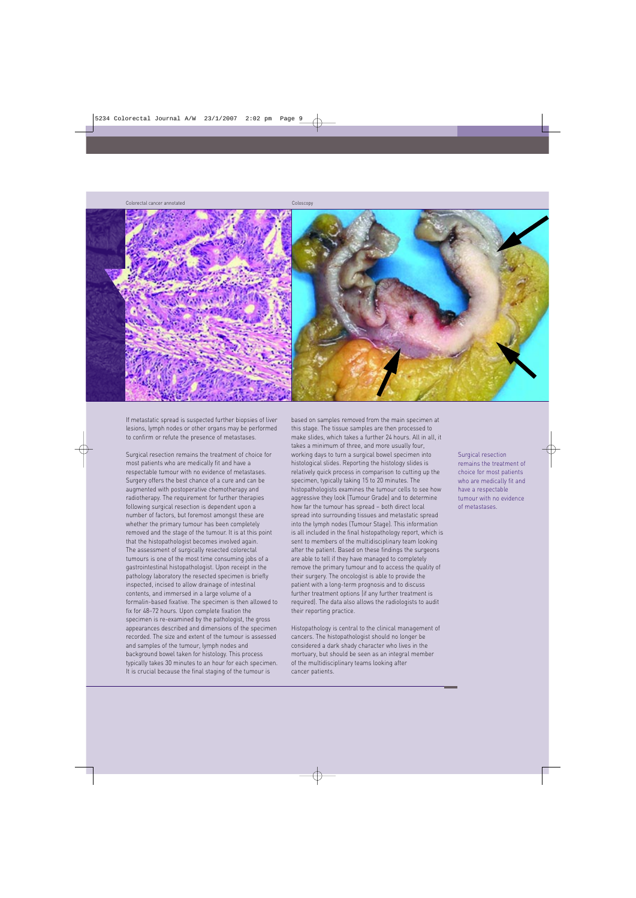Colorectal cancer annotated

Coloscopy



If metastatic spread is suspected further biopsies of liver lesions, lymph nodes or other organs may be performed to confirm or refute the presence of metastases.

Surgical resection remains the treatment of choice for most patients who are medically fit and have a respectable tumour with no evidence of metastases. Surgery offers the best chance of a cure and can be augmented with postoperative chemotherapy and radiotherapy. The requirement for further therapies following surgical resection is dependent upon a number of factors, but foremost amongst these are whether the primary tumour has been completely removed and the stage of the tumour. It is at this point that the histopathologist becomes involved again. The assessment of surgically resected colorectal tumours is one of the most time consuming jobs of a gastrointestinal histopathologist. Upon receipt in the pathology laboratory the resected specimen is briefly inspected, incised to allow drainage of intestinal contents, and immersed in a large volume of a formalin-based fixative. The specimen is then allowed to fix for 48–72 hours. Upon complete fixation the specimen is re-examined by the pathologist, the gross appearances described and dimensions of the specimen recorded. The size and extent of the tumour is assessed and samples of the tumour, lymph nodes and background bowel taken for histology. This process typically takes 30 minutes to an hour for each specimen. It is crucial because the final staging of the tumour is

based on samples removed from the main specimen at this stage. The tissue samples are then processed to make slides, which takes a further 24 hours. All in all, it takes a minimum of three, and more usually four, working days to turn a surgical bowel specimen into histological slides. Reporting the histology slides is relatively quick process in comparison to cutting up the specimen, typically taking 15 to 20 minutes. The histopathologists examines the tumour cells to see how aggressive they look (Tumour Grade) and to determine how far the tumour has spread – both direct local spread into surrounding tissues and metastatic spread into the lymph nodes (Tumour Stage). This information is all included in the final histopathology report, which is sent to members of the multidisciplinary team looking after the patient. Based on these findings the surgeons are able to tell if they have managed to completely remove the primary tumour and to access the quality of their surgery. The oncologist is able to provide the patient with a long-term prognosis and to discuss further treatment options (if any further treatment is required). The data also allows the radiologists to audit their reporting practice.

Histopathology is central to the clinical management of cancers. The histopathologist should no longer be considered a dark shady character who lives in the mortuary, but should be seen as an integral member of the multidisciplinary teams looking after cancer patients.

Surgical resection remains the treatment of choice for most patients who are medically fit and have a respectable tumour with no evidence of metastases.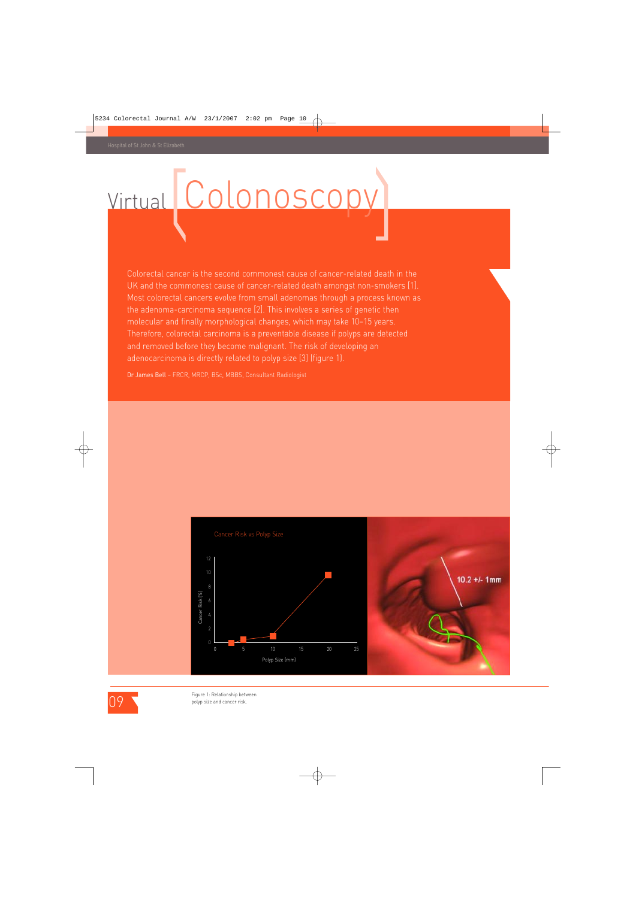# Virtual Colonoscopy

Colorectal cancer is the second commonest cause of cancer-related death in the UK and the commonest cause of cancer-related death amongst non-smokers [1]. Most colorectal cancers evolve from small adenomas through a process known as the adenoma-carcinoma sequence [2]. This involves a series of genetic then molecular and finally morphological changes, which may take 10–15 years. Therefore, colorectal carcinoma is a preventable disease if polyps are detected and removed before they become malignant. The risk of developing an adenocarcinoma is directly related to polyp size [3] (figure 1).

Dr James Bell – FRCR, MRCP, BSc, MBBS, Consultant Radiologist







Figure 1: Relationship between polyp size and cancer risk.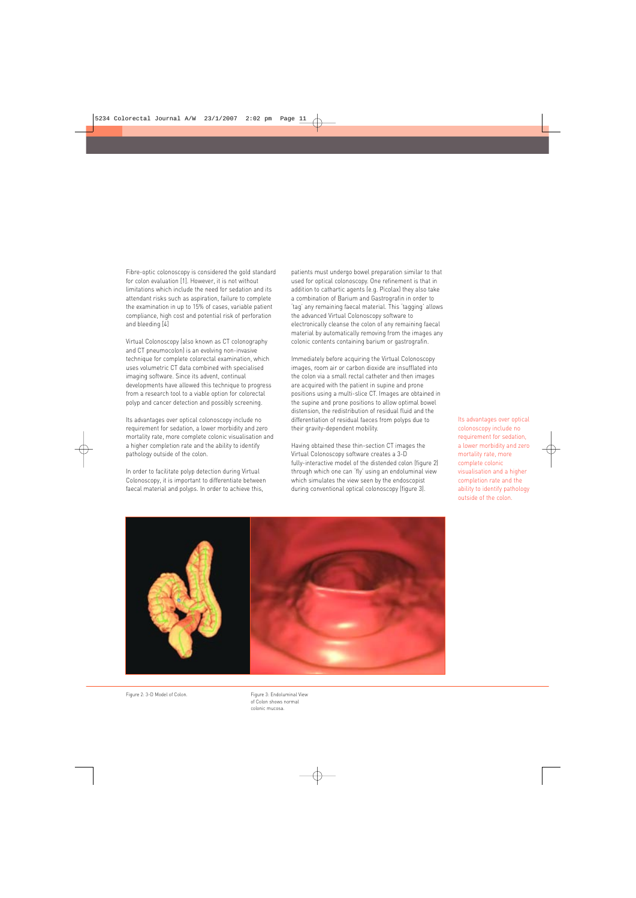Fibre-optic colonoscopy is considered the gold standard for colon evaluation [1]. However, it is not without limitations which include the need for sedation and its attendant risks such as aspiration, failure to complete the examination in up to 15% of cases, variable patient compliance, high cost and potential risk of perforation and bleeding [4]

Virtual Colonoscopy (also known as CT colonography and CT pneumocolon) is an evolving non-invasive technique for complete colorectal examination, which uses volumetric CT data combined with specialised imaging software. Since its advent, continual developments have allowed this technique to progress from a research tool to a viable option for colorectal polyp and cancer detection and possibly screening.

Its advantages over optical colonoscopy include no requirement for sedation, a lower morbidity and zero mortality rate, more complete colonic visualisation and a higher completion rate and the ability to identify pathology outside of the colon.

In order to facilitate polyp detection during Virtual Colonoscopy, it is important to differentiate between faecal material and polyps. In order to achieve this,

patients must undergo bowel preparation similar to that used for optical colonoscopy. One refinement is that in addition to cathartic agents (e.g. Picolax) they also take a combination of Barium and Gastrografin in order to 'tag' any remaining faecal material. This 'tagging' allows the advanced Virtual Colonoscopy software to electronically cleanse the colon of any remaining faecal material by automatically removing from the images any colonic contents containing barium or gastrografin.

Immediately before acquiring the Virtual Colonoscopy images, room air or carbon dioxide are insufflated into the colon via a small rectal catheter and then images are acquired with the patient in supine and prone positions using a multi-slice CT. Images are obtained in the supine and prone positions to allow optimal bowel distension, the redistribution of residual fluid and the differentiation of residual faeces from polyps due to their gravity-dependent mobility.

Having obtained these thin-section CT images the Virtual Colonoscopy software creates a 3-D fully-interactive model of the distended colon (figure 2) through which one can 'fly' using an endoluminal view which simulates the view seen by the endoscopist during conventional optical colonoscopy (figure 3).

Its advantages over optical colonoscopy include no requirement for sedation. a lower morbidity and zero mortality rate, more complete colonic visualisation and a higher completion rate and the ability to identify pathology outside of the colon.



Figure 2: 3-D Model of Colon.

Figure 3: Endoluminal View of Colon shows normal colonic mucosa.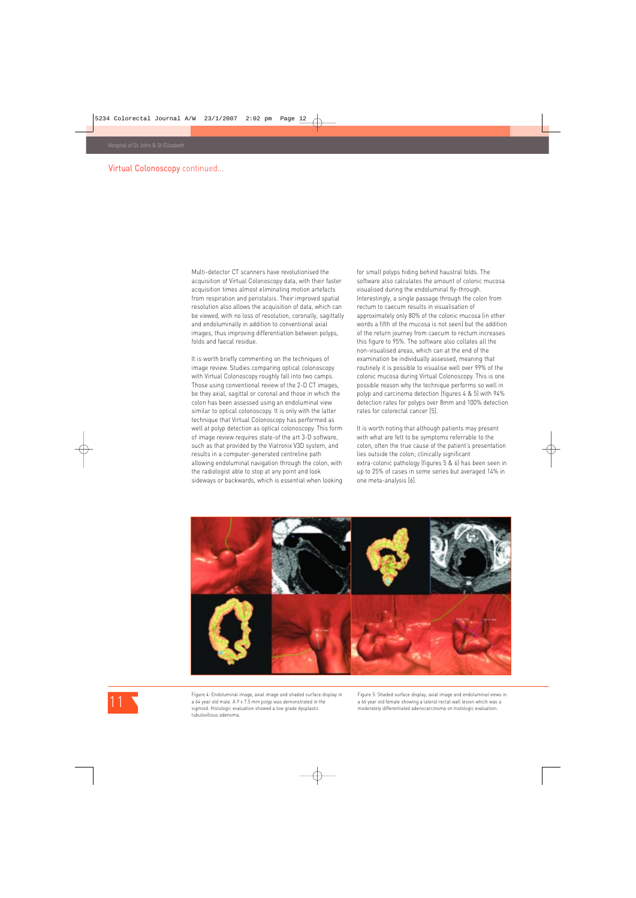#### Virtual Colonoscopy continued...

Multi-detector CT scanners have revolutionised the acquisition of Virtual Colonoscopy data, with their faster acquisition times almost eliminating motion artefacts from respiration and peristalsis. Their improved spatial resolution also allows the acquisition of data, which can be viewed, with no loss of resolution, coronally, sagittally and endoluminally in addition to conventional axial images, thus improving differentiation between polyps, folds and faecal residue.

It is worth briefly commenting on the techniques of image review. Studies comparing optical colonoscopy with Virtual Colonoscopy roughly fall into two camps. Those using conventional review of the 2-D CT images, be they axial, sagittal or coronal and those in which the colon has been assessed using an endoluminal view similar to optical colonoscopy. It is only with the latter technique that Virtual Colonoscopy has performed as well at polyp detection as optical colonoscopy. This form of image review requires state-of the art 3-D software, such as that provided by the Viatronix V3D system, and results in a computer-generated centreline path allowing endoluminal navigation through the colon, with the radiologist able to stop at any point and look sideways or backwards, which is essential when looking for small polyps hiding behind haustral folds. The software also calculates the amount of colonic mucosa visualised during the endoluminal fly-through. Interestingly, a single passage through the colon from rectum to caecum results in visualisation of approximately only 80% of the colonic mucosa (in other words a fifth of the mucosa is not seen) but the addition of the return journey from caecum to rectum increases this figure to 95%. The software also collates all the non-visualised areas, which can at the end of the examination be individually assessed, meaning that routinely it is possible to visualise well over 99% of the colonic mucosa during Virtual Colonoscopy. This is one possible reason why the technique performs so well in polyp and carcinoma detection (figures 4 & 5) with 94% detection rates for polyps over 8mm and 100% detection rates for colorectal cancer [5].

It is worth noting that although patients may present with what are felt to be symptoms referrable to the colon, often the true cause of the patient's presentation lies outside the colon; clinically significant extra-colonic pathology (figures 5 & 6) has been seen in up to 25% of cases in some series but averaged 14% in one meta-analysis [6].



Figure 4: Endoluminal image, axial image and shaded surface display in a 64 year old male. A 9 x 7.5 mm polyp was demonstrated in the sigmoid. Histologic evaluation showed a low grade dysplastic tubulovillous adenoma.

Figure 5: Shaded surface display, axial image and endoluminal views in a 66 year old female showing a lateral rectal wall lesion which was a moderately differentiated adenocarcinoma on histologic evaluation.

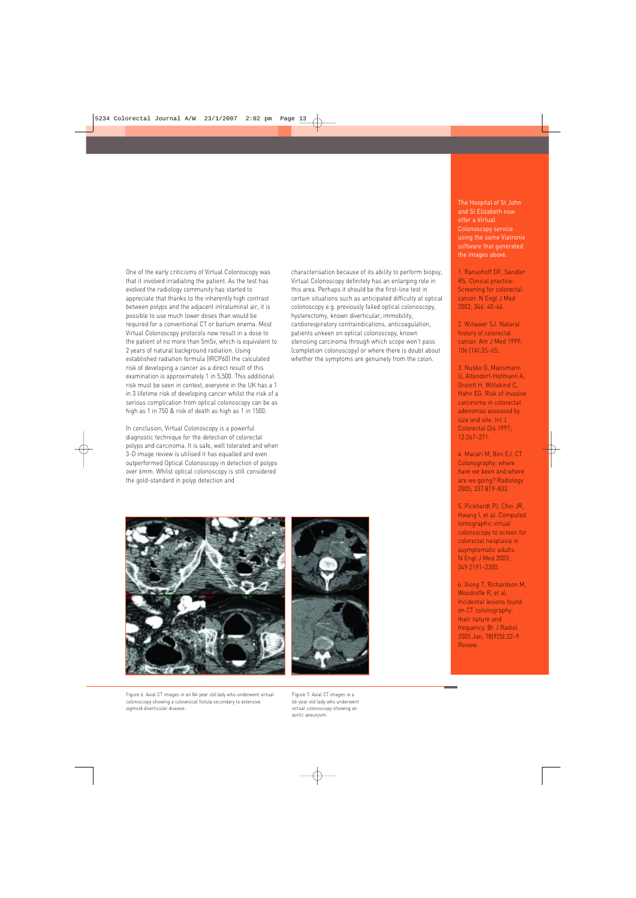One of the early criticisms of Virtual Colonoscopy was that it involved irradiating the patient. As the test has evolved the radiology community has started to appreciate that thanks to the inherently high contrast between polyps and the adjacent intraluminal air, it is possible to use much lower doses than would be required for a conventional CT or barium enema. Most Virtual Colonoscopy protocols now result in a dose to the patient of no more than 5mSv, which is equivalent to 2 years of natural background radiation. Using established radiation formula (IRCP60) the calculated risk of developing a cancer as a direct result of this examination is approximately 1 in 5,500. This additional risk must be seen in context, everyone in the UK has a 1 in 3 lifetime risk of developing cancer whilst the risk of a serious complication from optical colonoscopy can be as high as 1 in 750 & risk of death as high as 1 in 1500.

In conclusion, Virtual Colonoscopy is a powerful diagnostic technique for the detection of colorectal polyps and carcinoma. It is safe, well tolerated and when 3-D image review is utilised it has equalled and even outperformed Optical Colonoscopy in detection of polyps over 6mm. Whilst optical colonoscopy is still considered the gold-standard in polyp detection and

characterisation because of its ability to perform biopsy, Virtual Colonoscopy definitely has an enlarging role in this area. Perhaps it should be the first-line test in certain situations such as anticipated difficulty at optical colonoscopy e.g. previously failed optical colonoscopy, hysterectomy, known diverticular, immobility, cardiorespiratory contraindications, anticoagulation, patients unkeen on optical colonoscopy, known stenosing carcinoma through which scope won't pass (completion colonoscopy) or where there is doubt about whether the symptoms are genuinely from the colon.





Figure 6: Axial CT images in an 84-year old lady who underwent virtual colonoscopy showing a colovesical fistula secondary to extensive sigmoid diverticular disease.

Figure 7: Axial CT images in a 66-year old lady who underwent virtual colonoscopy showing an aortic aneurysm.

The Hospital of St John and St Elizabeth now offer a Virtual Colonoscopy service using the same Viatronix software that generated the images above.

1. Ransohoff DF, Sandler RS. Clinical practice: Screening for colorectal cancer. N Engl J Med 2002; 346: 40–44.

2. Winawer SJ. Natural history of colorectal cancer. Am J Med 1999; 106 (1A):3S–6S.

3. Nusko G, Mansmann U, Altendorf-Hofmann A, Grointl H, Wittekind C, Hahn EG. Risk of invasive carcinoma in colorectal adenomas assessed by size and site. Int J Colorectal Dis 1997; 12:267–271.

4. Macari M, Bini EJ. CT Colonography: where have we been and where are we going? Radiology 2005; 237:819–833.

5. Pickhardt PJ, Choi JR, Hwang I, et al. Computed tomographic virtual colonoscopy to screen for colorectal neoplasia in asymptomatic adults. N Engl J Med 2003; 349:2191–2200.

6. Xiong T, Richardson M, Woodroffe R, et al. Incidental lesions found on CT colonography: their nature and frequency. Br J Radiol. 2005 Jan; 78(925):22–9. Review.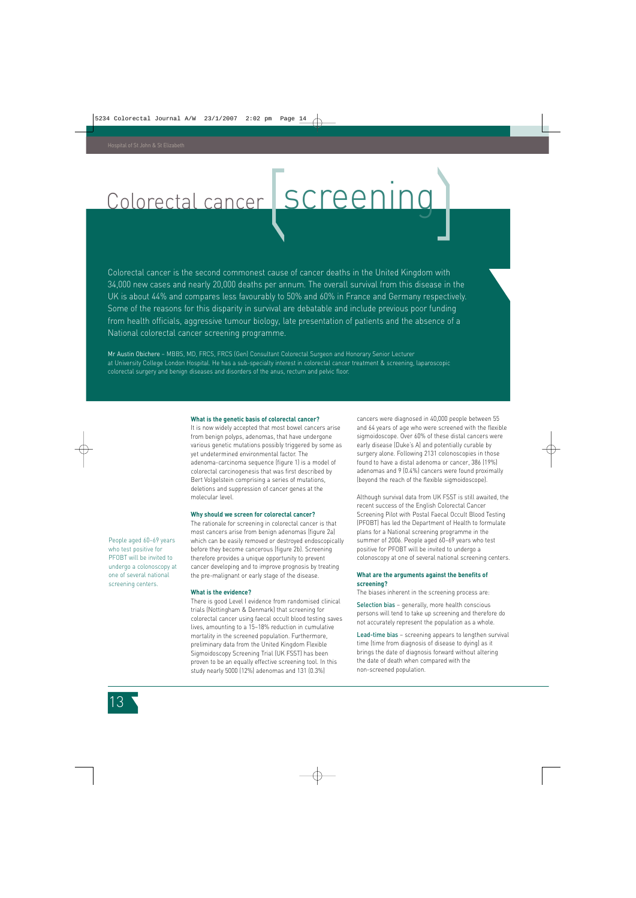# Colorectal cancer SCreening

Colorectal cancer is the second commonest cause of cancer deaths in the United Kingdom with 34,000 new cases and nearly 20,000 deaths per annum. The overall survival from this disease in the UK is about 44% and compares less favourably to 50% and 60% in France and Germany respectively. Some of the reasons for this disparity in survival are debatable and include previous poor funding from health officials, aggressive tumour biology, late presentation of patients and the absence of a National colorectal cancer screening programme.

Mr Austin Obichere – MBBS, MD, FRCS, FRCS (Gen) Consultant Colorectal Surgeon and Honorary Senior Lecturer at University College London Hospital. He has a sub-specialty interest in colorectal cancer treatment & screening, laparoscopic colorectal surgery and benign diseases and disorders of the anus, rectum and pelvic floor.

#### **What is the genetic basis of colorectal cancer?**

It is now widely accepted that most bowel cancers arise from benign polyps, adenomas, that have undergone various genetic mutations possibly triggered by some as yet undetermined environmental factor. The adenoma-carcinoma sequence (figure 1) is a model of colorectal carcinogenesis that was first described by Bert Volgelstein comprising a series of mutations, deletions and suppression of cancer genes at the molecular level.

#### **Why should we screen for colorectal cancer?**

The rationale for screening in colorectal cancer is that most cancers arise from benign adenomas (figure 2a) which can be easily removed or destroyed endoscopically before they become cancerous (figure 2b). Screening therefore provides a unique opportunity to prevent cancer developing and to improve prognosis by treating the pre-malignant or early stage of the disease.

#### **What is the evidence?**

There is good Level I evidence from randomised clinical trials (Nottingham & Denmark) that screening for colorectal cancer using faecal occult blood testing saves lives, amounting to a 15–18% reduction in cumulative mortality in the screened population. Furthermore, preliminary data from the United Kingdom Flexible Sigmoidoscopy Screening Trial (UK FSST) has been proven to be an equally effective screening tool. In this study nearly 5000 (12%) adenomas and 131 (0.3%)

cancers were diagnosed in 40,000 people between 55 and 64 years of age who were screened with the flexible sigmoidoscope. Over 60% of these distal cancers were early disease (Duke's A) and potentially curable by surgery alone. Following 2131 colonoscopies in those found to have a distal adenoma or cancer, 386 (19%) adenomas and 9 (0.4%) cancers were found proximally (beyond the reach of the flexible sigmoidoscope).

Although survival data from UK FSST is still awaited, the recent success of the English Colorectal Cancer Screening Pilot with Postal Faecal Occult Blood Testing (PFOBT) has led the Department of Health to formulate plans for a National screening programme in the summer of 2006. People aged 60–69 years who test positive for PFOBT will be invited to undergo a colonoscopy at one of several national screening centers.

#### **What are the arguments against the benefits of screening?**

The biases inherent in the screening process are:

Selection bias - generally, more health conscious persons will tend to take up screening and therefore do not accurately represent the population as a whole.

Lead-time bias – screening appears to lengthen survival time (time from diagnosis of disease to dying) as it brings the date of diagnosis forward without altering the date of death when compared with the non-screened population.

People aged 60–69 years who test positive for PFOBT will be invited to undergo a colonoscopy at one of several national screening centers.

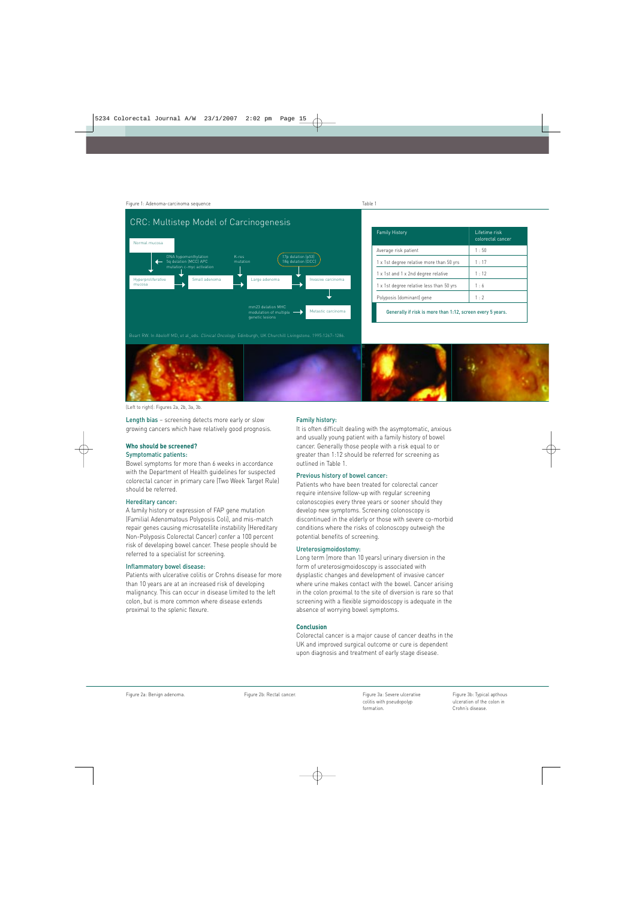Figure 1: Adenoma-carcinoma sequence



| <b>Family History</b>                                      | Lifetime risk<br>colorectal cancer |
|------------------------------------------------------------|------------------------------------|
| Average risk patient                                       | 1:50                               |
| 1 x 1st degree relative more than 50 yrs                   | 1:17                               |
| 1 x 1st and 1 x 2nd degree relative                        | 1:12                               |
| 1 x 1st degree relative less than 50 yrs                   | 1:6                                |
| Polyposis (dominant) gene                                  | 1:2                                |
| Generally if risk is more than 1:12, screen every 5 years. |                                    |

Beart RW. In Abeloff MD, et al\_eds. Clinical Oncology. Edinburgh, UK Churchill Livingstone. 1995:1267–1286.



(Left to right): Figures 2a, 2b, 3a, 3b.

Length bias – screening detects more early or slow growing cancers which have relatively good prognosis.

#### **Who should be screened?**

#### Symptomatic patients:

Bowel symptoms for more than 6 weeks in accordance with the Department of Health guidelines for suspected colorectal cancer in primary care (Two Week Target Rule) should be referred.

#### Hereditary cancer:

A family history or expression of FAP gene mutation (Familial Adenomatous Polyposis Coli), and mis-match repair genes causing microsatellite instability (Hereditary Non-Polyposis Colorectal Cancer) confer a 100 percent risk of developing bowel cancer. These people should be referred to a specialist for screening.

#### Inflammatory bowel disease:

Patients with ulcerative colitis or Crohns disease for more than 10 years are at an increased risk of developing malignancy. This can occur in disease limited to the left colon, but is more common where disease extends proximal to the splenic flexure.

#### Family history:

It is often difficult dealing with the asymptomatic, anxious and usually young patient with a family history of bowel cancer. Generally those people with a risk equal to or greater than 1:12 should be referred for screening as outlined in Table 1.

Table 1

#### Previous history of bowel cancer:

Patients who have been treated for colorectal cancer require intensive follow-up with regular screening colonoscopies every three years or sooner should they develop new symptoms. Screening colonoscopy is discontinued in the elderly or those with severe co-morbid conditions where the risks of colonoscopy outweigh the potential benefits of screening.

#### Ureterosigmoidostomy:

Long term (more than 10 years) urinary diversion in the form of ureterosigmoidoscopy is associated with dysplastic changes and development of invasive cancer where urine makes contact with the bowel. Cancer arising in the colon proximal to the site of diversion is rare so that screening with a flexible sigmoidoscopy is adequate in the absence of worrying bowel symptoms.

#### **Conclusion**

Colorectal cancer is a major cause of cancer deaths in the UK and improved surgical outcome or cure is dependent upon diagnosis and treatment of early stage disease.

Figure 2b: Rectal cancer.

Figure 3a: Severe ulcerative colitis with pseudopolyp formation.

Figure 3b: Typical apthous ulceration of the colon in Crohn's disease.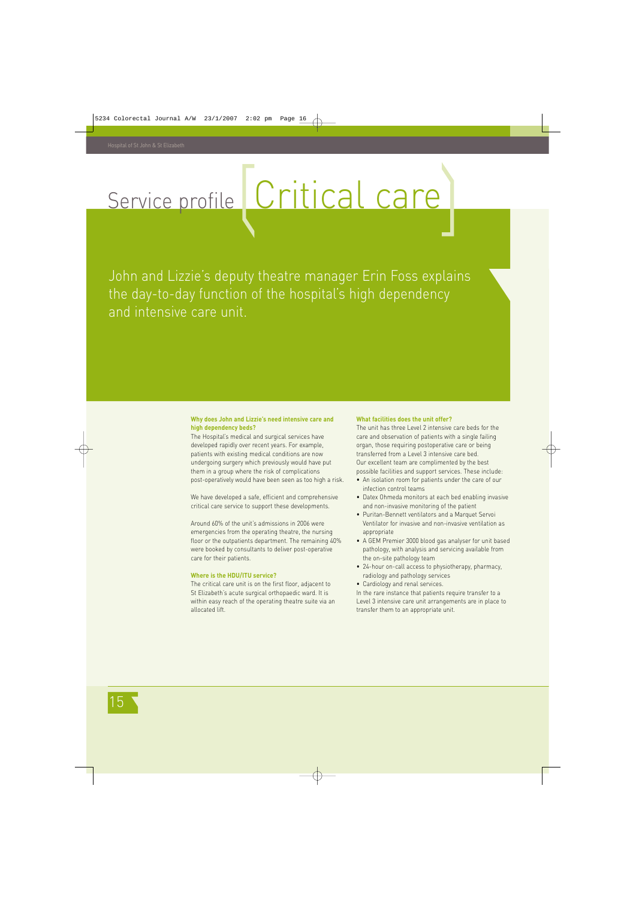# Service profile Critical care

John and Lizzie's deputy theatre manager Erin Foss explains the day-to-day function of the hospital's high dependency and intensive care unit.

#### **Why does John and Lizzie's need intensive care and high dependency beds?**

The Hospital's medical and surgical services have developed rapidly over recent years. For example, patients with existing medical conditions are now undergoing surgery which previously would have put them in a group where the risk of complications post-operatively would have been seen as too high a risk.

We have developed a safe, efficient and comprehensive critical care service to support these developments.

Around 60% of the unit's admissions in 2006 were emergencies from the operating theatre, the nursing floor or the outpatients department. The remaining 40% were booked by consultants to deliver post-operative care for their patients.

#### **Where is the HDU/ITU service?**

The critical care unit is on the first floor, adjacent to St Elizabeth's acute surgical orthopaedic ward. It is within easy reach of the operating theatre suite via an allocated lift.

#### **What facilities does the unit offer?**

The unit has three Level 2 intensive care beds for the care and observation of patients with a single failing organ, those requiring postoperative care or being transferred from a Level 3 intensive care bed. Our excellent team are complimented by the best possible facilities and support services. These include:

- An isolation room for patients under the care of our infection control teams
- Datex Ohmeda monitors at each bed enabling invasive and non-invasive monitoring of the patient
- Puritan-Bennett ventilators and a Marquet Servoi Ventilator for invasive and non-invasive ventilation as appropriate
- A GEM Premier 3000 blood gas analyser for unit based pathology, with analysis and servicing available from the on-site pathology team
- 24-hour on-call access to physiotherapy, pharmacy, radiology and pathology services
- Cardiology and renal services.

In the rare instance that patients require transfer to a Level 3 intensive care unit arrangements are in place to transfer them to an appropriate unit.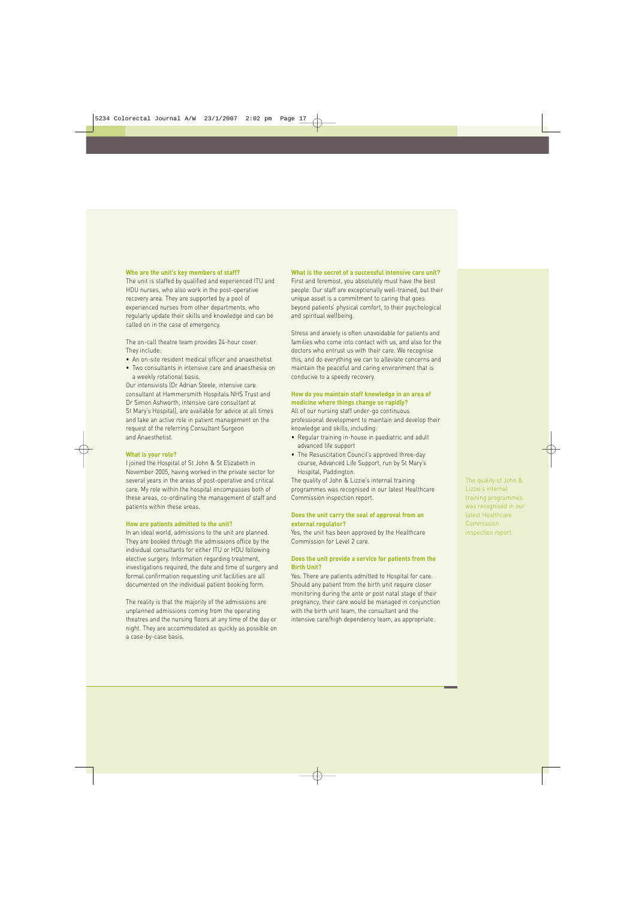#### **Who are the unit's key members of staff?**

The unit is staffed by qualified and experienced ITU and HDU nurses, who also work in the post-operative recovery area. They are supported by a pool of experienced nurses from other departments, who regularly update their skills and knowledge and can be called on in the case of emergency.

The on-call theatre team provides 24-hour cover. They include:

- An on-site resident medical officer and anaesthetist
- Two consultants in intensive care and anaesthesia on a weekly rotational basis.

Our intensivists (Dr Adrian Steele, intensive care consultant at Hammersmith Hospitals NHS Trust and Dr Simon Ashworth, intensive care consultant at St Mary's Hospital), are available for advice at all times and take an active role in patient management on the request of the referring Consultant Surgeon and Anaesthetist.

#### **What is your role?**

I joined the Hospital of St John & St Elizabeth in November 2005, having worked in the private sector for several years in the areas of post-operative and critical care. My role within the hospital encompasses both of these areas, co-ordinating the management of staff and patients within these areas.

#### **How are patients admitted to the unit?**

In an ideal world, admissions to the unit are planned. They are booked through the admissions office by the individual consultants for either ITU or HDU following elective surgery. Information regarding treatment, investigations required, the date and time of surgery and formal confirmation requesting unit facilities are all documented on the individual patient booking form.

The reality is that the majority of the admissions are unplanned admissions coming from the operating theatres and the nursing floors at any time of the day or night. They are accommodated as quickly as possible on a case-by-case basis.

#### **What is the secret of a successful intensive care unit?**

First and foremost, you absolutely must have the best people. Our staff are exceptionally well-trained, but their unique asset is a commitment to caring that goes beyond patients' physical comfort, to their psychological and spiritual wellbeing.

Stress and anxiety is often unavoidable for patients and families who come into contact with us, and also for the doctors who entrust us with their care. We recognise this, and do everything we can to alleviate concerns and maintain the peaceful and caring environment that is conducive to a speedy recovery.

#### **How do you maintain staff knowledge in an area of medicine where things change so rapidly?**

All of our nursing staff under-go continuous professional development to maintain and develop their knowledge and skills, including:

- Regular training in-house in paediatric and adult advanced life support
- The Resuscitation Council's approved three-day course, Advanced Life Support, run by St Mary's Hospital, Paddington.

The quality of John & Lizzie's internal training programmes was recognised in our latest Healthcare Commission inspection report.

#### **Does the unit carry the seal of approval from an external regulator?**

Yes, the unit has been approved by the Healthcare Commission for Level 2 care.

#### **Does the unit provide a service for patients from the Birth Unit?**

Yes. There are patients admitted to Hospital for care. Should any patient from the birth unit require closer monitoring during the ante or post natal stage of their pregnancy, their care would be managed in conjunction with the birth unit team, the consultant and the intensive care/high dependency team, as appropriate.

The quality of John & Lizzie's internal training programmes was recognised in our latest Healthcare **Commission** inspection report.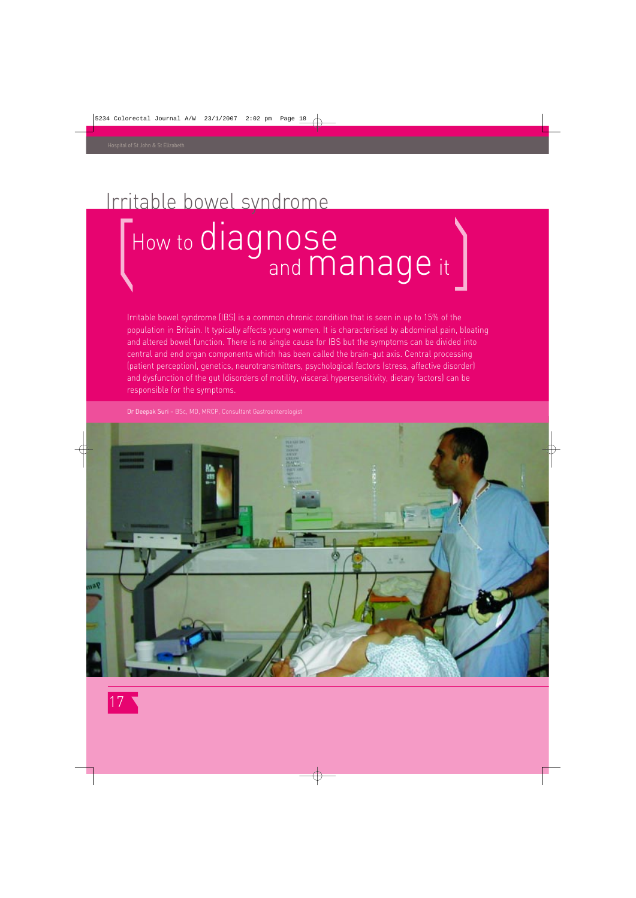### Irritable bowel syndrome

### How to diagnose and **manage** it

Irritable bowel syndrome (IBS) is a common chronic condition that is seen in up to 15% of the population in Britain. It typically affects young women. It is characterised by abdominal pain, bloating and altered bowel function. There is no single cause for IBS but the symptoms can be divided into central and end organ components which has been called the brain-gut axis. Central processing (patient perception), genetics, neurotransmitters, psychological factors (stress, affective disorder) and dysfunction of the gut (disorders of motility, visceral hypersensitivity, dietary factors) can be responsible for the symptoms.

Dr Deepak Suri – BSc, MD, MRCP, Consultant Gastroenterologist



17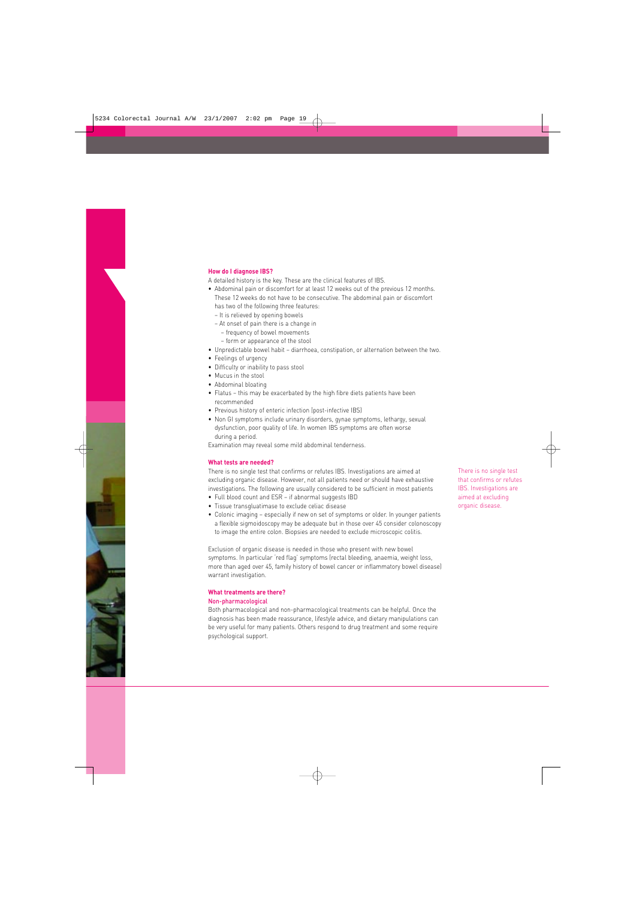#### **How do I diagnose IBS?**

A detailed history is the key. These are the clinical features of IBS.

- Abdominal pain or discomfort for at least 12 weeks out of the previous 12 months. These 12 weeks do not have to be consecutive. The abdominal pain or discomfort has two of the following three features:
	- It is relieved by opening bowels
	- At onset of pain there is a change in
		- frequency of bowel movements
		- form or appearance of the stool
- Unpredictable bowel habit diarrhoea, constipation, or alternation between the two.
- Feelings of urgency
- Difficulty or inability to pass stool
- Mucus in the stool
- Abdominal bloating
- Flatus this may be exacerbated by the high fibre diets patients have been recommended
- Previous history of enteric infection (post-infective IBS)
- Non GI symptoms include urinary disorders, gynae symptoms, lethargy, sexual dysfunction, poor quality of life. In women IBS symptoms are often worse during a period.

Examination may reveal some mild abdominal tenderness.

#### **What tests are needed?**

There is no single test that confirms or refutes IBS. Investigations are aimed at excluding organic disease. However, not all patients need or should have exhaustive investigations. The following are usually considered to be sufficient in most patients

- Full blood count and ESR if abnormal suggests IBD
- Tissue transgluatimase to exclude celiac disease
- Colonic imaging especially if new on set of symptoms or older. In younger patients a flexible sigmoidoscopy may be adequate but in those over 45 consider colonoscopy to image the entire colon. Biopsies are needed to exclude microscopic colitis.

Exclusion of organic disease is needed in those who present with new bowel symptoms. In particular 'red flag' symptoms (rectal bleeding, anaemia, weight loss, more than aged over 45, family history of bowel cancer or inflammatory bowel disease) warrant investigation.

#### **What treatments are there?**

#### Non-pharmacological

Both pharmacological and non-pharmacological treatments can be helpful. Once the diagnosis has been made reassurance, lifestyle advice, and dietary manipulations can be very useful for many patients. Others respond to drug treatment and some require psychological support.

There is no single test that confirms or refutes IBS. Investigations are aimed at excluding organic disease.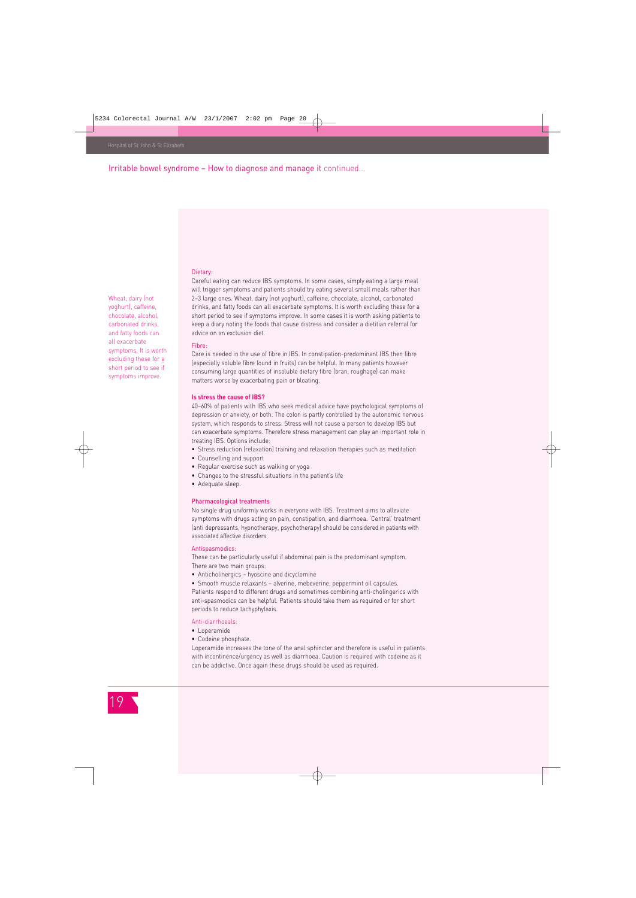Wheat, dairy (not yoghurt), caffeine, chocolate, alcohol, carbonated drinks, and fatty foods can all exacerbate symptoms. It is worth excluding these for a short period to see if symptoms improve.

Irritable bowel syndrome – How to diagnose and manage it continued...

#### Dietary:

Careful eating can reduce IBS symptoms. In some cases, simply eating a large meal will trigger symptoms and patients should try eating several small meals rather than 2–3 large ones. Wheat, dairy (not yoghurt), caffeine, chocolate, alcohol, carbonated drinks, and fatty foods can all exacerbate symptoms. It is worth excluding these for a short period to see if symptoms improve. In some cases it is worth asking patients to keep a diary noting the foods that cause distress and consider a dietitian referral for advice on an exclusion diet.

#### Fibre:

Care is needed in the use of fibre in IBS. In constipation-predominant IBS then fibre (especially soluble fibre found in fruits) can be helpful. In many patients however consuming large quantities of insoluble dietary fibre (bran, roughage) can make matters worse by exacerbating pain or bloating.

#### **Is stress the cause of IBS?**

40–60% of patients with IBS who seek medical advice have psychological symptoms of depression or anxiety, or both. The colon is partly controlled by the autonomic nervous system, which responds to stress. Stress will not cause a person to develop IBS but can exacerbate symptoms. Therefore stress management can play an important role in treating IBS. Options include:

- Stress reduction (relaxation) training and relaxation therapies such as meditation
- Counselling and support
- Regular exercise such as walking or yoga
- Changes to the stressful situations in the patient's life
- Adequate sleep.

#### Pharmacological treatments

No single drug uniformly works in everyone with IBS. Treatment aims to alleviate symptoms with drugs acting on pain, constipation, and diarrhoea. 'Central' treatment (anti depressants, hypnotherapy, psychotherapy) should be considered in patients with associated affective disorders

#### Antispasmodics:

These can be particularly useful if abdominal pain is the predominant symptom. There are two main groups:

- Anticholinergics hyoscine and dicyclomine
- Smooth muscle relaxants alverine, mebeverine, peppermint oil capsules.

Patients respond to different drugs and sometimes combining anti-cholingerics with anti-spasmodics can be helpful. Patients should take them as required or for short periods to reduce tachyphylaxis.

#### Anti-diarrhoeals:

- Loperamide
- Codeine phosphate.

Loperamide increases the tone of the anal sphincter and therefore is useful in patients with incontinence/urgency as well as diarrhoea. Caution is required with codeine as it can be addictive. Once again these drugs should be used as required.

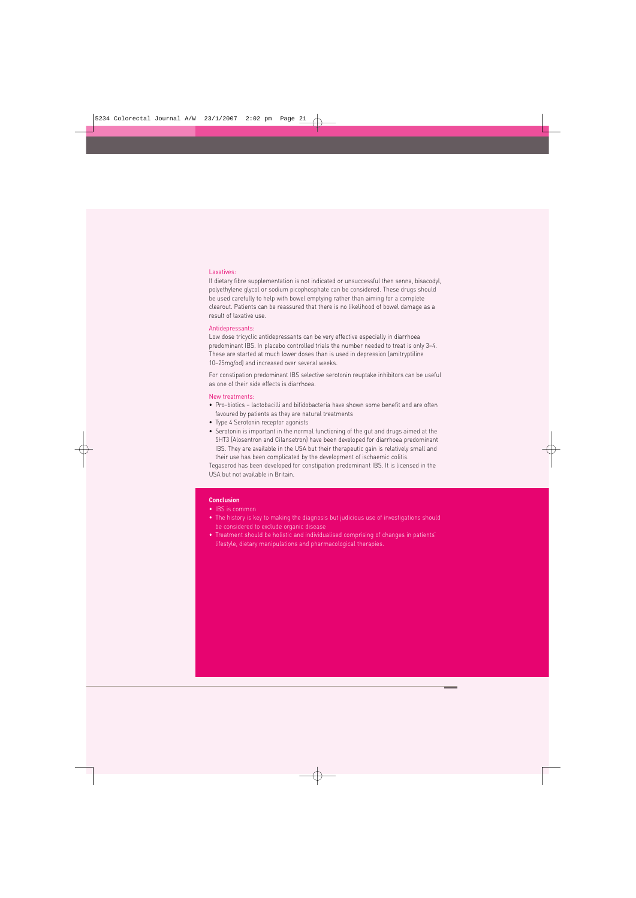#### Laxatives:

If dietary fibre supplementation is not indicated or unsuccessful then senna, bisacodyl, polyethylene glycol or sodium picophosphate can be considered. These drugs should be used carefully to help with bowel emptying rather than aiming for a complete clearout. Patients can be reassured that there is no likelihood of bowel damage as a result of laxative use.

#### Antidepressants:

Low dose tricyclic antidepressants can be very effective especially in diarrhoea predominant IBS. In placebo controlled trials the number needed to treat is only 3–4. These are started at much lower doses than is used in depression (amitryptiline 10–25mg/od) and increased over several weeks.

For constipation predominant IBS selective serotonin reuptake inhibitors can be useful as one of their side effects is diarrhoea.

#### New treatments:

- Pro-biotics lactobacilli and bifidobacteria have shown some benefit and are often favoured by patients as they are natural treatments
- Type 4 Serotonin receptor agonists
- Serotonin is important in the normal functioning of the gut and drugs aimed at the 5HT3 (Alosentron and Cilansetron) have been developed for diarrhoea predominant IBS. They are available in the USA but their therapeutic gain is relatively small and their use has been complicated by the development of ischaemic colitis.

Tegaserod has been developed for constipation predominant IBS. It is licensed in the USA but not available in Britain.

#### **Conclusion**

- IBS is common
- The history is key to making the diagnosis but judicious use of investigations should be considered to exclude organic disease
- Treatment should be holistic and individualised comprising of changes in patients' lifestyle, dietary manipulations and pharmacological therapies.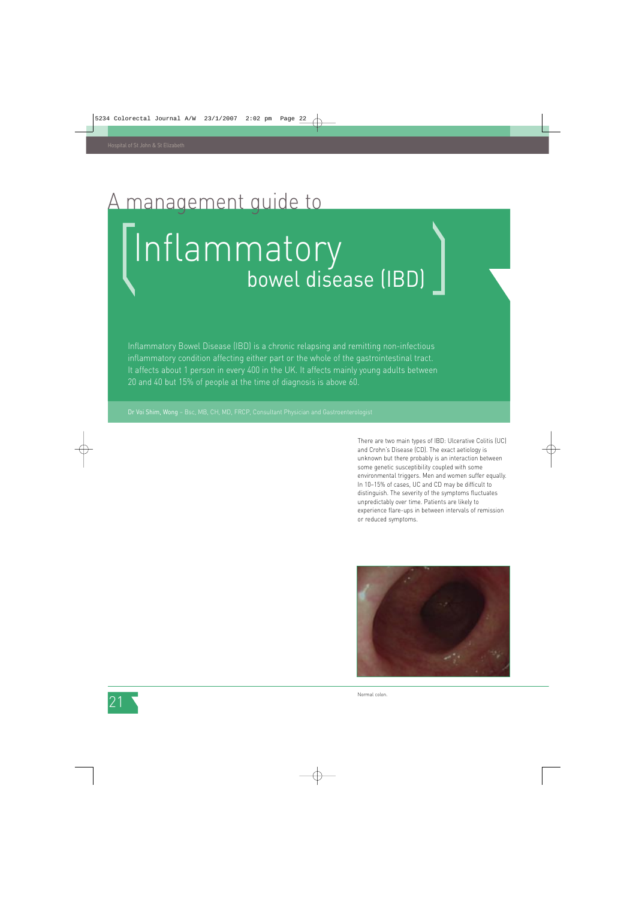### management quide to

# Inflammatory bowel disease (IBD)

Inflammatory Bowel Disease (IBD) is a chronic relapsing and remitting non-infectious inflammatory condition affecting either part or the whole of the gastrointestinal tract. It affects about 1 person in every 400 in the UK. It affects mainly young adults between 20 and 40 but 15% of people at the time of diagnosis is above 60.

There are two main types of IBD: Ulcerative Colitis (UC) and Crohn's Disease (CD). The exact aetiology is unknown but there probably is an interaction between some genetic susceptibility coupled with some environmental triggers. Men and women suffer equally. In 10–15% of cases, UC and CD may be difficult to distinguish. The severity of the symptoms fluctuates unpredictably over time. Patients are likely to experience flare-ups in between intervals of remission or reduced symptoms.



Normal colon.

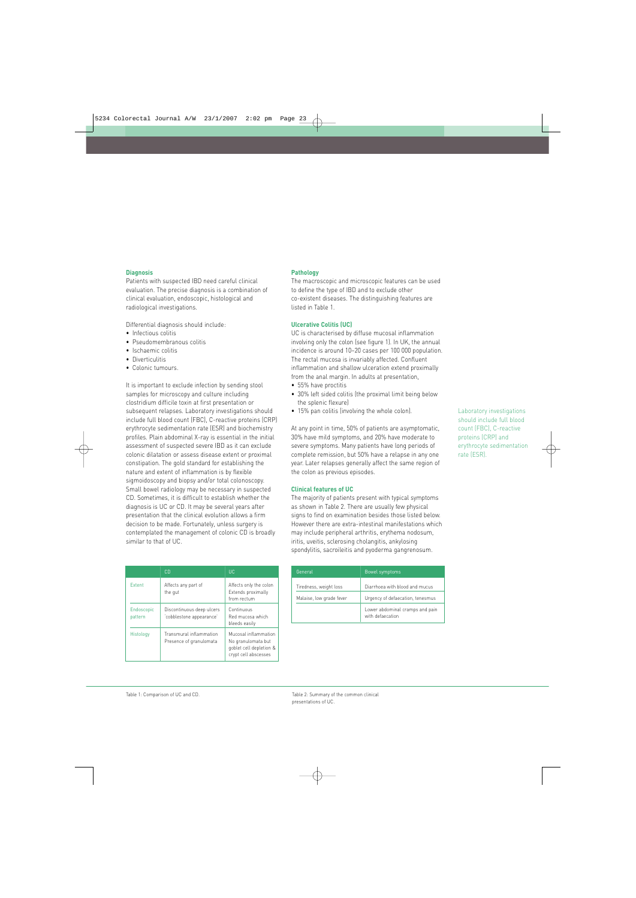#### **Diagnosis**

Patients with suspected IBD need careful clinical evaluation. The precise diagnosis is a combination of clinical evaluation, endoscopic, histological and radiological investigations.

Differential diagnosis should include:

- Infectious colitis
- Pseudomembranous colitis
- Ischaemic colitis
- Diverticulitis
- Colonic tumours.

It is important to exclude infection by sending stool samples for microscopy and culture including clostridium difficile toxin at first presentation or subsequent relapses. Laboratory investigations should include full blood count (FBC), C-reactive proteins (CRP) erythrocyte sedimentation rate (ESR) and biochemistry profiles. Plain abdominal X-ray is essential in the initial assessment of suspected severe IBD as it can exclude colonic dilatation or assess disease extent or proximal constipation. The gold standard for establishing the nature and extent of inflammation is by flexible sigmoidoscopy and biopsy and/or total colonoscopy. Small bowel radiology may be necessary in suspected CD. Sometimes, it is difficult to establish whether the diagnosis is UC or CD. It may be several years after presentation that the clinical evolution allows a firm decision to be made. Fortunately, unless surgery is contemplated the management of colonic CD is broadly similar to that of UC.

|                                                                 | CD.                                                   | <b>UC</b>                                                                                     |
|-----------------------------------------------------------------|-------------------------------------------------------|-----------------------------------------------------------------------------------------------|
| Extent                                                          | Affects any part of<br>the gut                        | Affects only the colon<br>Extends proximally<br>from rectum                                   |
| Endoscopic<br>pattern                                           | Discontinuous deep ulcers<br>'cobblestone appearance' | Continuous<br>Red mucosa which<br>bleeds easily                                               |
| Transmural inflammation<br>Histology<br>Presence of granulomata |                                                       | Mucosal inflammation<br>No granulomata but<br>goblet cell depletion &<br>crypt cell abscesses |

#### **Pathology**

The macroscopic and microscopic features can be used to define the type of IBD and to exclude other co-existent diseases. The distinguishing features are listed in Table 1.

#### **Ulcerative Colitis (UC)**

UC is characterised by diffuse mucosal inflammation involving only the colon (see figure 1). In UK, the annual incidence is around 10–20 cases per 100 000 population. The rectal mucosa is invariably affected. Confluent inflammation and shallow ulceration extend proximally from the anal margin. In adults at presentation,

- 55% have proctitis
- 30% left sided colitis (the proximal limit being below the splenic flexure)
- 15% pan colitis (involving the whole colon).

At any point in time, 50% of patients are asymptomatic, 30% have mild symptoms, and 20% have moderate to severe symptoms. Many patients have long periods of complete remission, but 50% have a relapse in any one year. Later relapses generally affect the same region of the colon as previous episodes.

#### **Clinical features of UC**

The majority of patients present with typical symptoms as shown in Table 2. There are usually few physical signs to find on examination besides those listed below. However there are extra-intestinal manifestations which may include peripheral arthritis, erythema nodosum, iritis, uveitis, sclerosing cholangitis, ankylosing spondylitis, sacroileitis and pyoderma gangrenosum.

| General                  | Bowel symptoms                                      |
|--------------------------|-----------------------------------------------------|
| Tiredness, weight loss   | Diarrhoea with blood and mucus                      |
| Malaise, low grade fever | Urgency of defaecation, tenesmus                    |
|                          | Lower abdominal cramps and pain<br>with defaecation |

Laboratory investigations should include full blood count (FBC), C-reactive proteins (CRP) and erythrocyte sedimentation rate (ESR).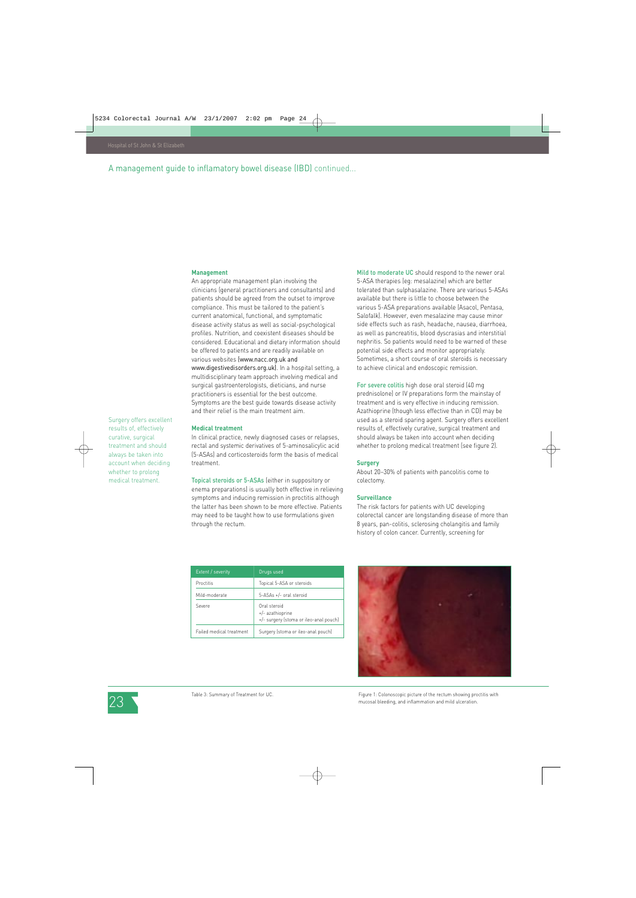Surgery offers excellent results of, effectively curative, surgical treatment and should always be taken into account when deciding whether to prolong medical treatment.

#### A management guide to inflamatory bowel disease (IBD) continued...

#### **Management**

An appropriate management plan involving the clinicians (general practitioners and consultants) and patients should be agreed from the outset to improve compliance. This must be tailored to the patient's current anatomical, functional, and symptomatic disease activity status as well as social-psychological profiles. Nutrition, and coexistent diseases should be considered. Educational and dietary information should be offered to patients and are readily available on various websites (www.nacc.org.uk and www.digestivedisorders.org.uk). In a hospital setting, a multidisciplinary team approach involving medical and surgical gastroenterologists, dieticians, and nurse practitioners is essential for the best outcome. Symptoms are the best guide towards disease activity and their relief is the main treatment aim.

#### **Medical treatment**

In clinical practice, newly diagnosed cases or relapses, rectal and systemic derivatives of 5-aminosalicylic acid (5-ASAs) and corticosteroids form the basis of medical treatment.

Topical steroids or 5-ASAs (either in suppository or enema preparations) is usually both effective in relieving symptoms and inducing remission in proctitis although the latter has been shown to be more effective. Patients may need to be taught how to use formulations given through the rectum.

| Mild to moderate UC should respond to the newer oral       |
|------------------------------------------------------------|
| 5-ASA therapies (eq: mesalazine) which are better          |
| tolerated than sulphasalazine. There are various 5-ASAs    |
| available but there is little to choose between the        |
| various 5-ASA preparations available (Asacol, Pentasa,     |
| Salofalk). However, even mesalazine may cause minor        |
| side effects such as rash, headache, nausea, diarrhoea,    |
| as well as pancreatitis, blood dyscrasias and interstitial |
| nephritis. So patients would need to be warned of these    |
| potential side effects and monitor appropriately.          |
| Sometimes, a short course of oral steroids is necessary    |
| to achieve clinical and endoscopic remission.              |

For severe colitis high dose oral steroid (40 mg prednisolone) or IV preparations form the mainstay of treatment and is very effective in inducing remission. Azathioprine (though less effective than in CD) may be used as a steroid sparing agent. Surgery offers excellent results of, effectively curative, surgical treatment and should always be taken into account when deciding whether to prolong medical treatment (see figure 2).

#### **Surgery**

About 20–30% of patients with pancolitis come to colectomy.

#### **Surveillance**

The risk factors for patients with UC developing colorectal cancer are longstanding disease of more than 8 years, pan-colitis, sclerosing cholangitis and family history of colon cancer. Currently, screening for

| Extent / severity        | Drugs used                                                                 |
|--------------------------|----------------------------------------------------------------------------|
| Proctitis                | Topical 5-ASA or steroids                                                  |
| Mild-moderate            | 5-ASAs +/- oral steroid                                                    |
| Severe                   | Oral steroid<br>+/- azathioprine<br>+/- surgery (stoma or ileo-anal pouch) |
| Failed medical treatment | Surgery (stoma or ileo-anal pouch)                                         |





Table 3: Summary of Treatment for UC.

Figure 1: Colonoscopic picture of the rectum showing proctitis with mucosal bleeding, and inflammation and mild ulceration.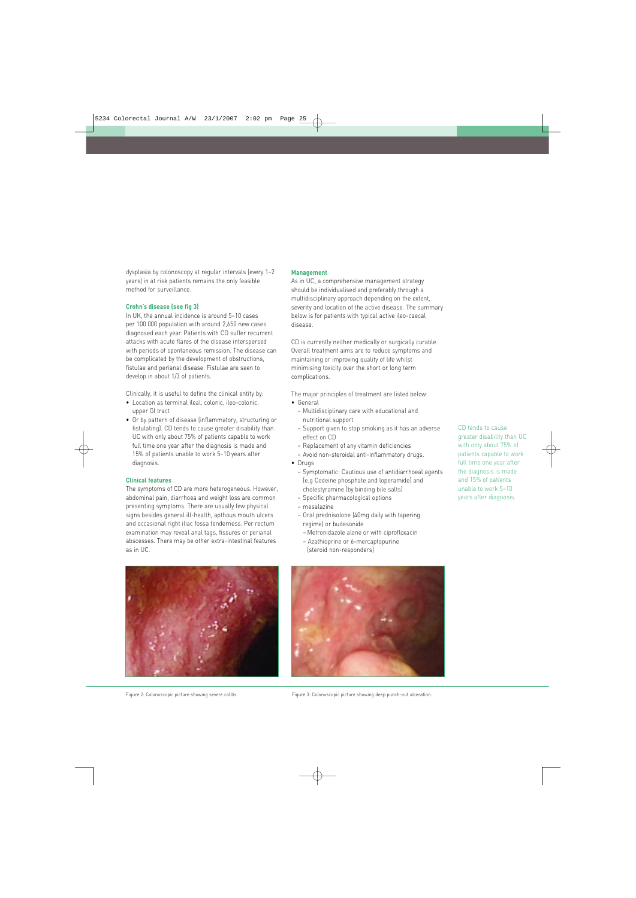dysplasia by colonoscopy at regular intervals (every 1–2 years) in at risk patients remains the only feasible method for surveillance.

#### **Crohn's disease (see fig 3)**

In UK, the annual incidence is around 5–10 cases per 100 000 population with around 2,650 new cases diagnosed each year. Patients with CD suffer recurrent attacks with acute flares of the disease interspersed with periods of spontaneous remission. The disease can be complicated by the development of obstructions, fistulae and perianal disease. Fistulae are seen to develop in about 1/3 of patients.

Clinically, it is useful to define the clinical entity by:

- Location as terminal ileal, colonic, ileo-colonic, upper GI tract
- Or by pattern of disease (inflammatory, structuring or fistulating). CD tends to cause greater disability than UC with only about 75% of patients capable to work full time one year after the diagnosis is made and 15% of patients unable to work 5–10 years after diagnosis.

#### **Clinical features**

The symptoms of CD are more heterogeneous. However, abdominal pain, diarrhoea and weight loss are common presenting symptoms. There are usually few physical signs besides general ill-health, apthous mouth ulcers and occasional right iliac fossa tenderness. Per rectum examination may reveal anal tags, fissures or perianal abscesses. There may be other extra-intestinal features as in UC.

#### **Management**

As in UC, a comprehensive management strategy should be individualised and preferably through a multidisciplinary approach depending on the extent, severity and location of the active disease. The summary below is for patients with typical active ileo-caecal disease.

CD is currently neither medically or surgically curable. Overall treatment aims are to reduce symptoms and maintaining or improving quality of life whilst minimising toxicity over the short or long term complications.

The major principles of treatment are listed below:

- General
	- Multidisciplinary care with educational and nutritional support
	- Support given to stop smoking as it has an adverse effect on CD
	- Replacement of any vitamin deficiencies
	- Avoid non-steroidal anti-inflammatory drugs.
- Drugs
	- Symptomatic: Cautious use of antidiarrhoeal agents (e.g Codeine phosphate and loperamide) and cholestyramine (by binding bile salts)
	- Specific pharmacological options
	- mesalazine
	- Oral prednisolone (40mg daily with tapering regime) or budesonide
		- Metronidazole alone or with ciprofloxacin
		- Azathioprine or 6-mercaptopurine (steroid non-responders)



Figure 2: Colonoscopic picture showing severe colitis.



Figure 3: Colonoscopic picture showing deep punch-out ulceration.

CD tends to cause greater disability than UC with only about 75% of patients capable to work full time one year after the diagnosis is made and 15% of patients unable to work 5–10 years after diagnosis.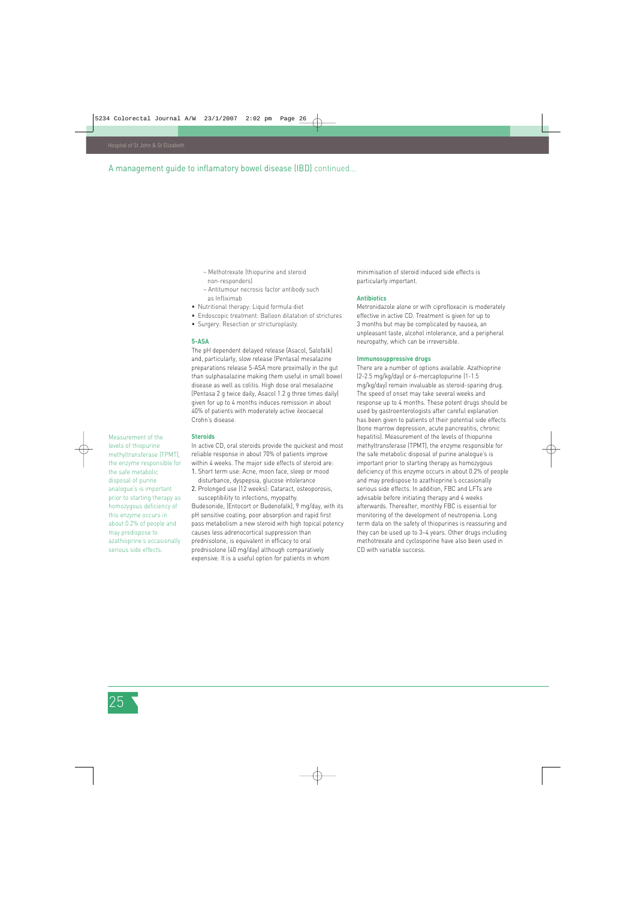#### A management guide to inflamatory bowel disease (IBD) continued...

- Methotrexate (thiopurine and steroid non-responders)
- Antitumour necrosis factor antibody such as Infliximab
- Nutritional therapy: Liquid formula diet
- Endoscopic treatment: Balloon dilatation of strictures
- Surgery: Resection or stricturoplasty.

#### **5-ASA**

The pH dependent delayed release (Asacol, Salofalk) and, particularly, slow release (Pentasa) mesalazine preparations release 5-ASA more proximally in the gut than sulphasalazine making them useful in small bowel disease as well as colitis. High dose oral mesalazine (Pentasa 2 g twice daily, Asacol 1.2 g three times daily) given for up to 4 months induces remission in about 40% of patients with moderately active ileocaecal Crohn's disease.

Measurement of the levels of thiopurine methyltransferase (TPMT), the enzyme responsible for the safe metabolic disposal of purine analogue's is important prior to starting therapy as homozygous deficiency of this enzyme occurs in about 0.2% of people and may predispose to azathioprine's occasionally serious side effects.

#### **Steroids**

In active CD, oral steroids provide the quickest and most reliable response in about 70% of patients improve within 4 weeks. The major side effects of steroid are: 1. Short term use: Acne, moon face, sleep or mood

- disturbance, dyspepsia, glucose intolerance
- 2. Prolonged use (12 weeks): Cataract, osteoporosis, susceptibility to infections, myopathy.

Budesonide, (Entocort or Budenofalk), 9 mg/day, with its pH sensitive coating, poor absorption and rapid first pass metabolism a new steroid with high topical potency causes less adrenocortical suppression than prednisolone, is equivalent in efficacy to oral prednisolone (40 mg/day) although comparatively expensive. It is a useful option for patients in whom

minimisation of steroid induced side effects is particularly important.

#### **Antibiotics**

Metronidazole alone or with ciprofloxacin is moderately effective in active CD. Treatment is given for up to 3 months but may be complicated by nausea, an unpleasant taste, alcohol intolerance, and a peripheral neuropathy, which can be irreversible.

#### **Immunosuppressive drugs**

There are a number of options available. Azathioprine (2-2.5 mg/kg/day) or 6-mercaptopurine (1-1.5 mg/kg/day) remain invaluable as steroid-sparing drug. The speed of onset may take several weeks and response up to 4 months. These potent drugs should be used by gastroenterologists after careful explanation has been given to patients of their potential side effects (bone marrow depression, acute pancreatitis, chronic hepatitis). Measurement of the levels of thiopurine methyltransferase (TPMT), the enzyme responsible for the safe metabolic disposal of purine analogue's is important prior to starting therapy as homozygous deficiency of this enzyme occurs in about 0.2% of people and may predispose to azathioprine's occasionally serious side effects. In addition, FBC and LFTs are advisable before initiating therapy and 4 weeks afterwards. Thereafter, monthly FBC is essential for monitoring of the development of neutropenia. Long term data on the safety of thiopurines is reassuring and they can be used up to 3–4 years. Other drugs including methotrexate and cyclosporine have also been used in CD with variable success.

25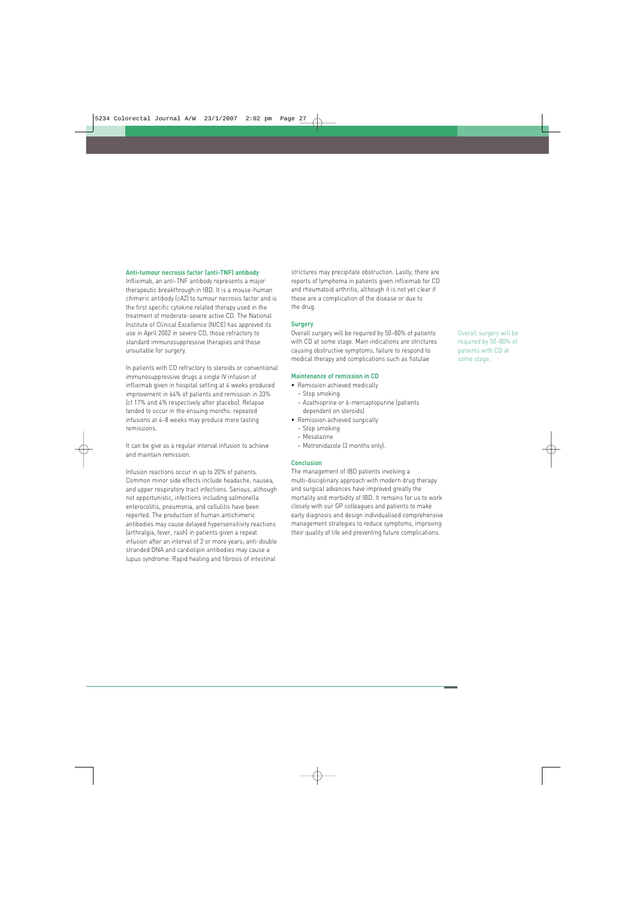#### **Anti-tumour necrosis factor (anti-TNF) antibody**

Infliximab, an anti-TNF antibody represents a major therapeutic breakthrough in IBD. It is a mouse-human chimeric antibody (cA2) to tumour necrosis factor and is the first specific cytokine related therapy used in the treatment of moderate-severe active CD. The National Institute of Clinical Excellence (NICE) has approved its use in April 2002 in severe CD, those refractory to standard immunosuppressive therapies and those unsuitable for surgery.

In patients with CD refractory to steroids or conventional immunosuppressive drugs a single IV infusion of infliximab given in hospital setting at 4 weeks produced improvement in 64% of patients and remission in 33% (cf 17% and 4% respectively after placebo). Relapse tended to occur in the ensuing months: repeated infusions at 4–8 weeks may produce more lasting remissions.

It can be give as a regular interval infusion to achieve and maintain remission.

Infusion reactions occur in up to 20% of patients. Common minor side effects include headache, nausea, and upper respiratory tract infections. Serious, although not opportunistic, infections including salmonella enterocolitis, pneumonia, and cellulitis have been reported. The production of human antichimeric antibodies may cause delayed hypersensitivity reactions (arthralgia, fever, rash) in patients given a repeat infusion after an interval of 2 or more years; anti-double stranded DNA and cardiolipin antibodies may cause a lupus syndrome. Rapid healing and fibrosis of intestinal

strictures may precipitate obstruction. Lastly, there are reports of lymphoma in patients given infliximab for CD and rheumatoid arthritis, although it is not yet clear if these are a complication of the disease or due to the drug.

#### **Surgery**

Overall surgery will be required by 50–80% of patients with CD at some stage. Main indications are strictures causing obstructive symptoms, failure to respond to medical therapy and complications such as fistulae

#### **Maintenance of remission in CD**

- Remission achieved medically – Stop smoking
	-
	- Azathioprine or 6-mercaptopurine (patients dependent on steroids)
- Remission achieved surgically
	- Stop smoking
	- Mesalazine
	- Metronidazole (3 months only).

#### **Conclusion**

The management of IBD patients involving a multi-disciplinary approach with modern drug therapy and surgical advances have improved greatly the mortality and morbidity of IBD. It remains for us to work closely with our GP colleagues and patients to make early diagnosis and design individualised comprehensive management strategies to reduce symptoms, improving their quality of life and preventing future complications.

Overall surgery will be required by 50–80% of patients with CD at some stage.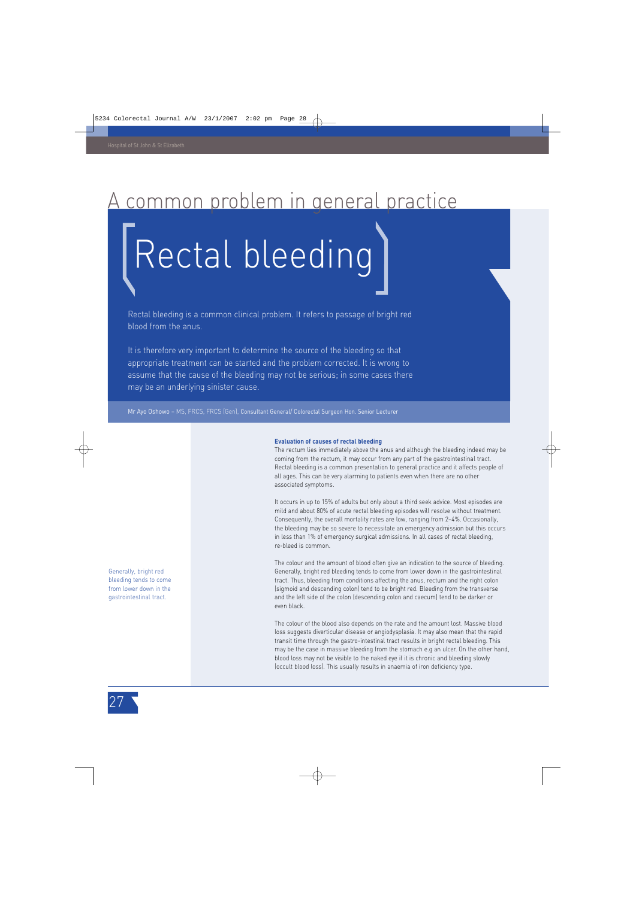### common problem in general practice

# Rectal bleeding

Rectal bleeding is a common clinical problem. It refers to passage of bright red blood from the anus.

It is therefore very important to determine the source of the bleeding so that appropriate treatment can be started and the problem corrected. It is wrong to assume that the cause of the bleeding may not be serious; in some cases there may be an underlying sinister cause.

Mr Ayo Oshowo – MS, FRCS, FRCS (Gen), Consultant General/ Colorectal Surgeon Hon. Senior Lecturer

#### **Evaluation of causes of rectal bleeding**

The rectum lies immediately above the anus and although the bleeding indeed may be coming from the rectum, it may occur from any part of the gastrointestinal tract. Rectal bleeding is a common presentation to general practice and it affects people of all ages. This can be very alarming to patients even when there are no other associated symptoms.

It occurs in up to 15% of adults but only about a third seek advice. Most episodes are mild and about 80% of acute rectal bleeding episodes will resolve without treatment. Consequently, the overall mortality rates are low, ranging from 2–4%. Occasionally, the bleeding may be so severe to necessitate an emergency admission but this occurs in less than 1% of emergency surgical admissions. In all cases of rectal bleeding, re-bleed is common.

The colour and the amount of blood often give an indication to the source of bleeding. Generally, bright red bleeding tends to come from lower down in the gastrointestinal tract. Thus, bleeding from conditions affecting the anus, rectum and the right colon (sigmoid and descending colon) tend to be bright red. Bleeding from the transverse and the left side of the colon (descending colon and caecum) tend to be darker or even black.

The colour of the blood also depends on the rate and the amount lost. Massive blood loss suggests diverticular disease or angiodysplasia. It may also mean that the rapid transit time through the gastro-intestinal tract results in bright rectal bleeding. This may be the case in massive bleeding from the stomach e.g an ulcer. On the other hand, blood loss may not be visible to the naked eye if it is chronic and bleeding slowly (occult blood loss). This usually results in anaemia of iron deficiency type.

Generally, bright red bleeding tends to come from lower down in the gastrointestinal tract.

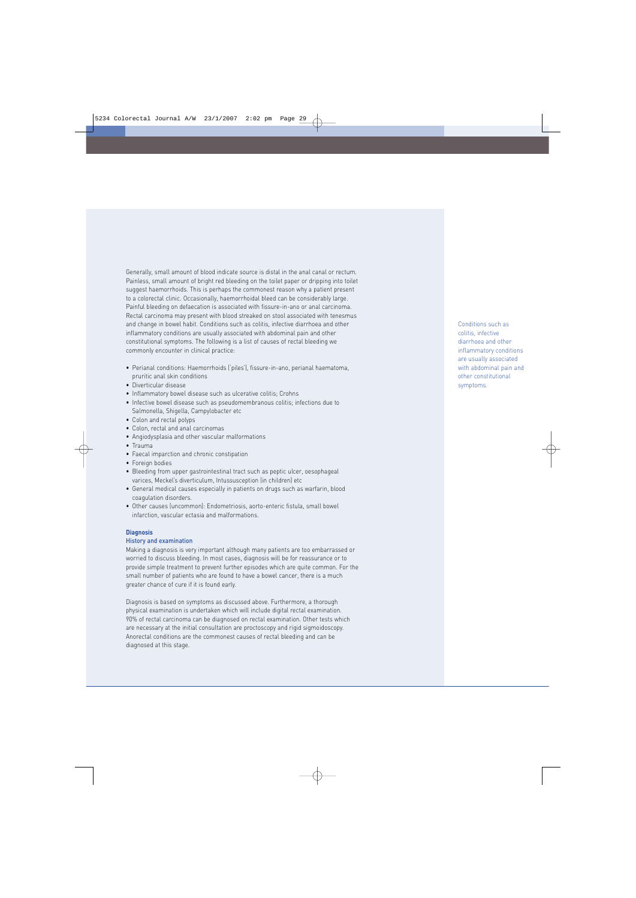Generally, small amount of blood indicate source is distal in the anal canal or rectum. Painless, small amount of bright red bleeding on the toilet paper or dripping into toilet suggest haemorrhoids. This is perhaps the commonest reason why a patient present to a colorectal clinic. Occasionally, haemorrhoidal bleed can be considerably large. Painful bleeding on defaecation is associated with fissure-in-ano or anal carcinoma. Rectal carcinoma may present with blood streaked on stool associated with tenesmus and change in bowel habit. Conditions such as colitis, infective diarrhoea and other inflammatory conditions are usually associated with abdominal pain and other constitutional symptoms. The following is a list of causes of rectal bleeding we commonly encounter in clinical practice:

- Perianal conditions: Haemorrhoids ('piles'), fissure-in-ano, perianal haematoma, pruritic anal skin conditions
- Diverticular disease
- Inflammatory bowel disease such as ulcerative colitis; Crohns
- Infective bowel disease such as pseudomembranous colitis; infections due to Salmonella, Shigella, Campylobacter etc
- Colon and rectal polyps
- Colon, rectal and anal carcinomas
- Angiodysplasia and other vascular malformations
- Trauma
- Faecal imparction and chronic constipation
- Foreign bodies
- Bleeding from upper gastrointestinal tract such as peptic ulcer, oesophageal varices, Meckel's diverticulum, Intussusception (in children) etc
- General medical causes especially in patients on drugs such as warfarin, blood coagulation disorders.
- Other causes (uncommon): Endometriosis, aorto-enteric fistula, small bowel infarction, vascular ectasia and malformations.

#### **Diagnosis**

#### History and examination

Making a diagnosis is very important although many patients are too embarrassed or worried to discuss bleeding. In most cases, diagnosis will be for reassurance or to provide simple treatment to prevent further episodes which are quite common. For the small number of patients who are found to have a bowel cancer, there is a much greater chance of cure if it is found early.

Diagnosis is based on symptoms as discussed above. Furthermore, a thorough physical examination is undertaken which will include digital rectal examination. 90% of rectal carcinoma can be diagnosed on rectal examination. Other tests which are necessary at the initial consultation are proctoscopy and rigid sigmoidoscopy. Anorectal conditions are the commonest causes of rectal bleeding and can be diagnosed at this stage.

Conditions such as colitis, infective diarrhoea and other inflammatory conditions are usually associated with abdominal pain and other constitutional symptoms.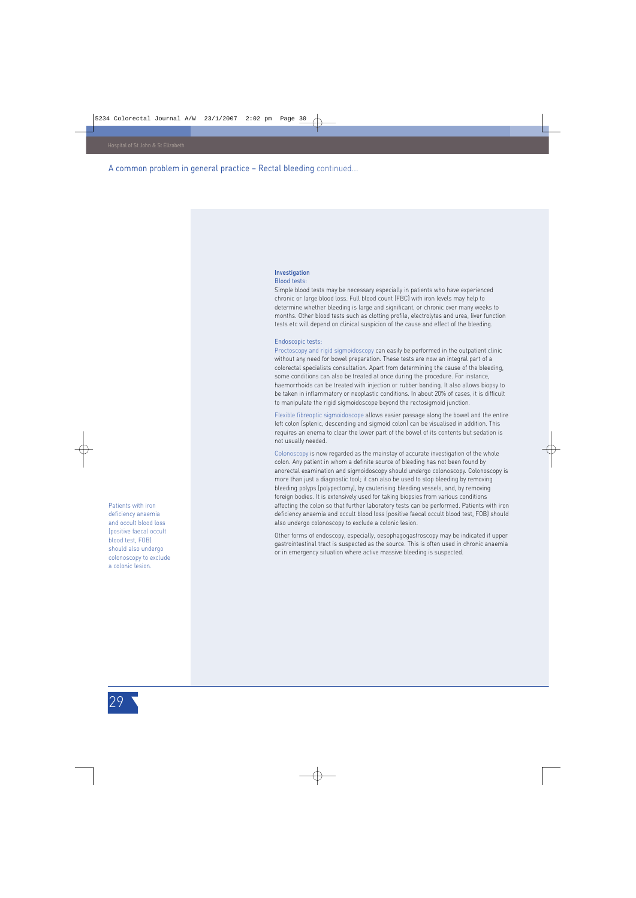A common problem in general practice – Rectal bleeding continued...

#### Investigation Blood tests:

Simple blood tests may be necessary especially in patients who have experienced chronic or large blood loss. Full blood count (FBC) with iron levels may help to determine whether bleeding is large and significant, or chronic over many weeks to months. Other blood tests such as clotting profile, electrolytes and urea, liver function tests etc will depend on clinical suspicion of the cause and effect of the bleeding.

#### Endoscopic tests:

Proctoscopy and rigid sigmoidoscopy can easily be performed in the outpatient clinic without any need for bowel preparation. These tests are now an integral part of a colorectal specialists consultation. Apart from determining the cause of the bleeding, some conditions can also be treated at once during the procedure. For instance, haemorrhoids can be treated with injection or rubber banding. It also allows biopsy to be taken in inflammatory or neoplastic conditions. In about 20% of cases, it is difficult to manipulate the rigid sigmoidoscope beyond the rectosigmoid junction.

Flexible fibreoptic sigmoidoscope allows easier passage along the bowel and the entire left colon (splenic, descending and sigmoid colon) can be visualised in addition. This requires an enema to clear the lower part of the bowel of its contents but sedation is not usually needed.

Colonoscopy is now regarded as the mainstay of accurate investigation of the whole colon. Any patient in whom a definite source of bleeding has not been found by anorectal examination and sigmoidoscopy should undergo colonoscopy. Colonoscopy is more than just a diagnostic tool; it can also be used to stop bleeding by removing bleeding polyps (polypectomy), by cauterising bleeding vessels, and, by removing foreign bodies. It is extensively used for taking biopsies from various conditions affecting the colon so that further laboratory tests can be performed. Patients with iron deficiency anaemia and occult blood loss (positive faecal occult blood test, FOB) should also undergo colonoscopy to exclude a colonic lesion.

Other forms of endoscopy, especially, oesophagogastroscopy may be indicated if upper gastrointestinal tract is suspected as the source. This is often used in chronic anaemia or in emergency situation where active massive bleeding is suspected.

Patients with iron deficiency anaemia and occult blood loss (positive faecal occult blood test, FOB) should also undergo colonoscopy to exclude a colonic lesion.

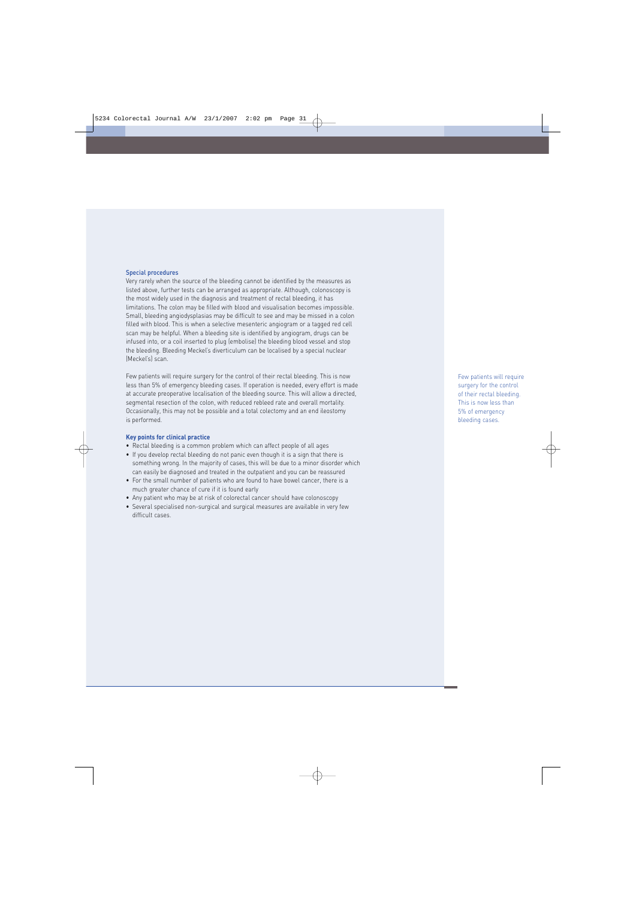#### Special procedures

Very rarely when the source of the bleeding cannot be identified by the measures as listed above, further tests can be arranged as appropriate. Although, colonoscopy is the most widely used in the diagnosis and treatment of rectal bleeding, it has limitations. The colon may be filled with blood and visualisation becomes impossible. Small, bleeding angiodysplasias may be difficult to see and may be missed in a colon filled with blood. This is when a selective mesenteric angiogram or a tagged red cell scan may be helpful. When a bleeding site is identified by angiogram, drugs can be infused into, or a coil inserted to plug (embolise) the bleeding blood vessel and stop the bleeding. Bleeding Meckel's diverticulum can be localised by a special nuclear (Meckel's) scan.

Few patients will require surgery for the control of their rectal bleeding. This is now less than 5% of emergency bleeding cases. If operation is needed, every effort is made at accurate preoperative localisation of the bleeding source. This will allow a directed, segmental resection of the colon, with reduced rebleed rate and overall mortality. Occasionally, this may not be possible and a total colectomy and an end ileostomy is performed.

#### **Key points for clinical practice**

- Rectal bleeding is a common problem which can affect people of all ages
- If you develop rectal bleeding do not panic even though it is a sign that there is something wrong. In the majority of cases, this will be due to a minor disorder which can easily be diagnosed and treated in the outpatient and you can be reassured
- For the small number of patients who are found to have bowel cancer, there is a much greater chance of cure if it is found early
- Any patient who may be at risk of colorectal cancer should have colonoscopy
- Several specialised non-surgical and surgical measures are available in very few difficult cases.

Few patients will require surgery for the control of their rectal bleeding. This is now less than 5% of emergency bleeding cases.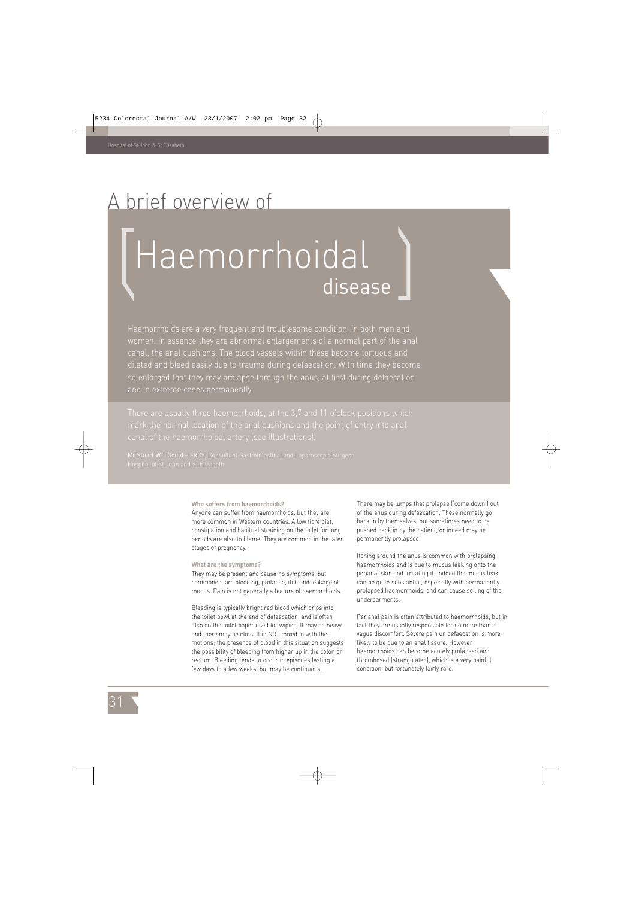### A brief overview of

# Haemorrhoidal disease

Haemorrhoids are a very frequent and troublesome condition, in both men and women. In essence they are abnormal enlargements of a normal part of the anal dilated and bleed easily due to trauma during defaecation. With time they become so enlarged that they may prolapse through the anus, at first during defaecation

#### **Who suffers from haemorrhoids?**

Anyone can suffer from haemorrhoids, but they are more common in Western countries. A low fibre diet, constipation and habitual straining on the toilet for long periods are also to blame. They are common in the later stages of pregnancy.

#### **What are the symptoms?**

They may be present and cause no symptoms, but commonest are bleeding, prolapse, itch and leakage of mucus. Pain is not generally a feature of haemorrhoids.

Bleeding is typically bright red blood which drips into the toilet bowl at the end of defaecation, and is often also on the toilet paper used for wiping. It may be heavy and there may be clots. It is NOT mixed in with the motions; the presence of blood in this situation suggests the possibility of bleeding from higher up in the colon or rectum. Bleeding tends to occur in episodes lasting a few days to a few weeks, but may be continuous.

There may be lumps that prolapse ('come down') out of the anus during defaecation. These normally go back in by themselves, but sometimes need to be pushed back in by the patient, or indeed may be permanently prolapsed.

Itching around the anus is common with prolapsing haemorrhoids and is due to mucus leaking onto the perianal skin and irritating it. Indeed the mucus leak can be quite substantial, especially with permanently prolapsed haemorrhoids, and can cause soiling of the undergarments.

Perianal pain is often attributed to haemorrhoids, but in fact they are usually responsible for no more than a vague discomfort. Severe pain on defaecation is more likely to be due to an anal fissure. However haemorrhoids can become acutely prolapsed and thrombosed (strangulated), which is a very painful condition, but fortunately fairly rare.

31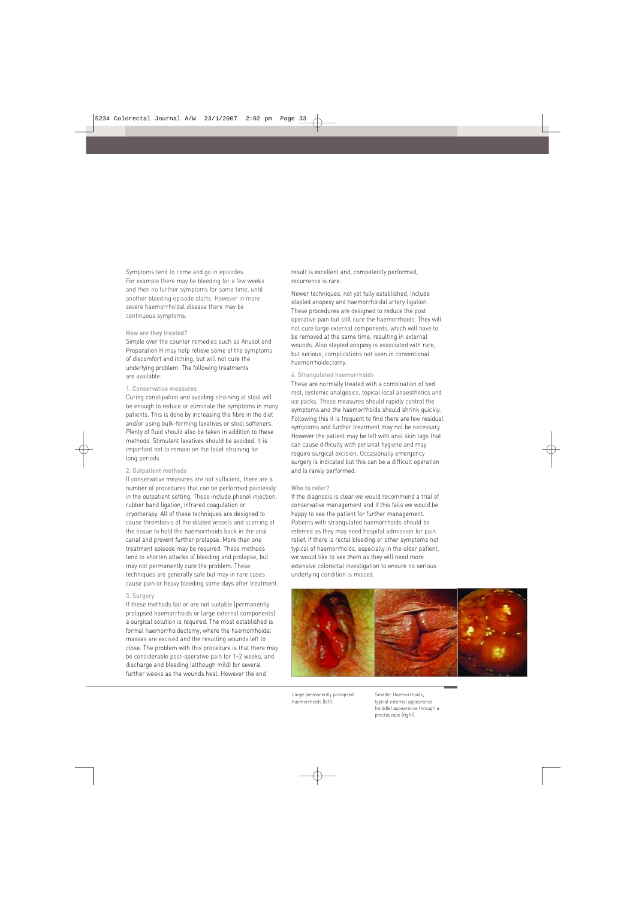Symptoms tend to come and go in episodes. For example there may be bleeding for a few weeks and then no further symptoms for some time, until another bleeding episode starts. However in more severe haemorrhoidal disease there may be continuous symptoms.

#### **How are they treated?**

Simple over the counter remedies such as Anusol and Preparation H may help relieve some of the symptoms of discomfort and itching, but will not cure the underlying problem. The following treatments are available:

#### 1. Conservative measures

Curing constipation and avoiding straining at stool will be enough to reduce or eliminate the symptoms in many patients. This is done by increasing the fibre in the diet and/or using bulk-forming laxatives or stool softeners. Plenty of fluid should also be taken in addition to these methods. Stimulant laxatives should be avoided. It is important not to remain on the toilet straining for long periods.

#### 2. Outpatient methods

If conservative measures are not sufficient, there are a number of procedures that can be performed painlessly in the outpatient setting. These include phenol injection, rubber band ligation, infrared coagulation or cryotherapy. All of these techniques are designed to cause thrombosis of the dilated vessels and scarring of the tissue to hold the haemorrhoids back in the anal canal and prevent further prolapse. More than one treatment episode may be required. These methods tend to shorten attacks of bleeding and prolapse, but may not permanently cure the problem. These techniques are generally safe but may in rare cases cause pain or heavy bleeding some days after treatment.

#### 3. Surgery

If these methods fail or are not suitable (permanently prolapsed haemorrhoids or large external components) a surgical solution is required. The most established is formal haemorrhoidectomy, where the haemorrhoidal masses are excised and the resulting wounds left to close. The problem with this procedure is that there may be considerable post-operative pain for 1–2 weeks, and discharge and bleeding (although mild) for several further weeks as the wounds heal. However the end

result is excellent and, competently performed, recurrence is rare.

Newer techniques, not yet fully established, include stapled anopexy and haemorrhoidal artery ligation. These procedures are designed to reduce the post operative pain but still cure the haemorrhoids. They will not cure large external components, which will have to be removed at the same time, resulting in external wounds. Also stapled anopexy is associated with rare, but serious, complications not seen in conventional haemorrhoidectomy.

#### 4. Strangulated haemorrhoids

These are normally treated with a combination of bed rest, systemic analgesics, topical local anaesthetics and ice packs. These measures should rapidly control the symptoms and the haemorrhoids should shrink quickly. Following this it is frequent to find there are few residual symptoms and further treatment may not be necessary. However the patient may be left with anal skin tags that can cause difficulty with perianal hygiene and may require surgical excision. Occasionally emergency surgery is indicated but this can be a difficult operation and is rarely performed.

#### **Who to refer?**

If the diagnosis is clear we would recommend a trial of conservative management and if this fails we would be happy to see the patient for further management. Patients with strangulated haemorrhoids should be referred as they may need hospital admission for pain relief. If there is rectal bleeding or other symptoms not typical of haemorrhoids, especially in the older patient, we would like to see them as they will need more extensive colorectal investigation to ensure no serious underlying condition is missed.



Large permanently prolapsed haemorrhoids (left).

Smaller Haemorrhoids, typical external appearance (middle) appearance through a proctoscope (right).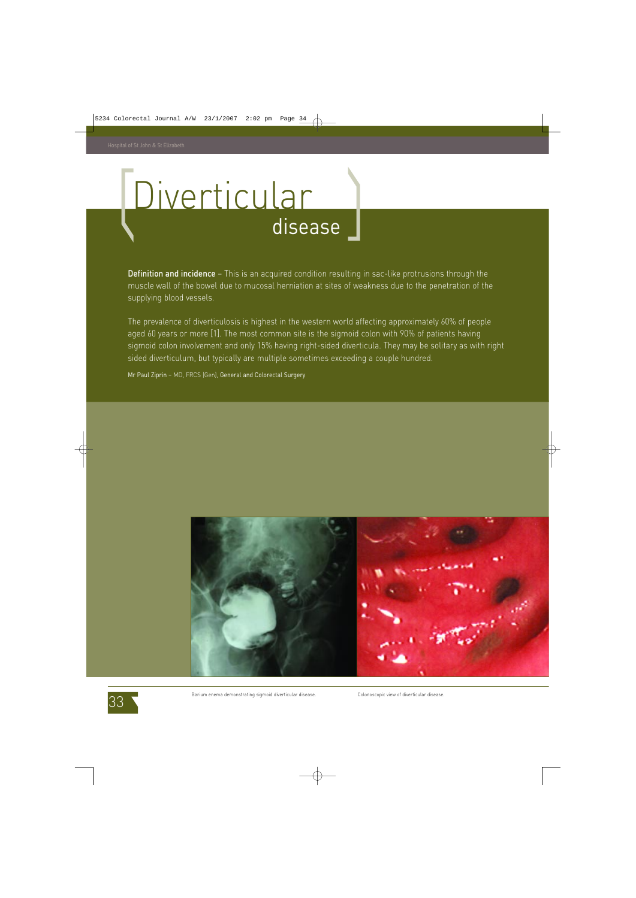## Diverticular disease

Definition and incidence - This is an acquired condition resulting in sac-like protrusions through the muscle wall of the bowel due to mucosal herniation at sites of weakness due to the penetration of the supplying blood vessels.

The prevalence of diverticulosis is highest in the western world affecting approximately 60% of people aged 60 years or more [1]. The most common site is the sigmoid colon with 90% of patients having sigmoid colon involvement and only 15% having right-sided diverticula. They may be solitary as with right sided diverticulum, but typically are multiple sometimes exceeding a couple hundred.

Mr Paul Ziprin – MD, FRCS (Gen), General and Colorectal Surgery





Barium enema demonstrating sigmoid diverticular disease. Colonoscopic view of diverticular disease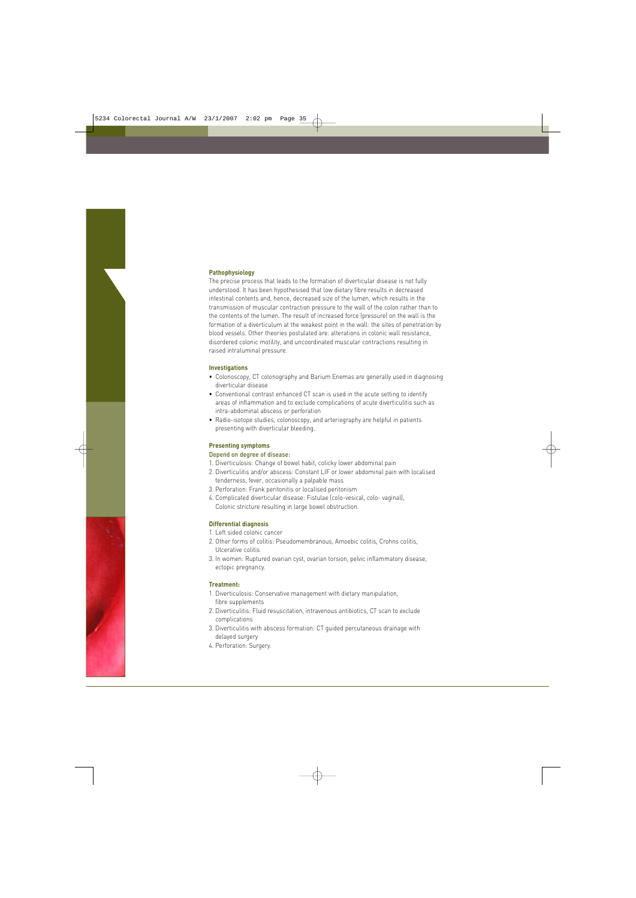#### **Pathophysiology**

The precise process that leads to the formation of diverticular disease is not fully understood. It has been hypothesised that low dietary fibre results in decreased intestinal contents and, hence, decreased size of the lumen, which results in the transmission of muscular contraction pressure to the wall of the colon rather than to the contents of the lumen. The result of increased force (pressure) on the wall is the formation of a diverticulum at the weakest point in the wall: the sites of penetration by blood vessels. Other theories postulated are: alterations in colonic wall resistance, disordered colonic motility, and uncoordinated muscular contractions resulting in raised intraluminal pressure.

#### **Investigations**

- Colonoscopy, CT colonography and Barium Enemas are generally used in diagnosing diverticular disease
- Conventional contrast enhanced CT scan is used in the acute setting to identify areas of inflammation and to exclude complications of acute diverticulitis such as intra-abdominal abscess or perforation
- Radio-isotope studies, colonoscopy, and arteriography are helpful in patients presenting with diverticular bleeding.

#### **Presenting symptoms**

#### Depend on degree of disease:

- 1. Diverticulosis: Change of bowel habit, colicky lower abdominal pain
- 2. Diverticulitis and/or abscess: Constant LIF or lower abdominal pain with localised tenderness, fever, occasionally a palpable mass
- 3. Perforation: Frank peritonitis or localised peritonism
- 4. Complicated diverticular disease: Fistulae (colo-vesical, colo- vaginal), Colonic stricture resulting in large bowel obstruction.

#### **Differential diagnosis**

- 1. Left sided colonic cancer
- 2. Other forms of colitis: Pseudomembranous, Amoebic colitis, Crohns colitis, Ulcerative colitis
- 3. In women: Ruptured ovarian cyst, ovarian torsion, pelvic inflammatory disease, ectopic pregnancy.

#### **Treatment:**

- 1. Diverticulosis: Conservative management with dietary manipulation, fibre supplements
- 2. Diverticulitis: Fluid resuscitation, intravenous antibiotics, CT scan to exclude complications
- 3. Diverticulitis with abscess formation: CT guided percutaneous drainage with delayed surgery
- 4. Perforation: Surgery.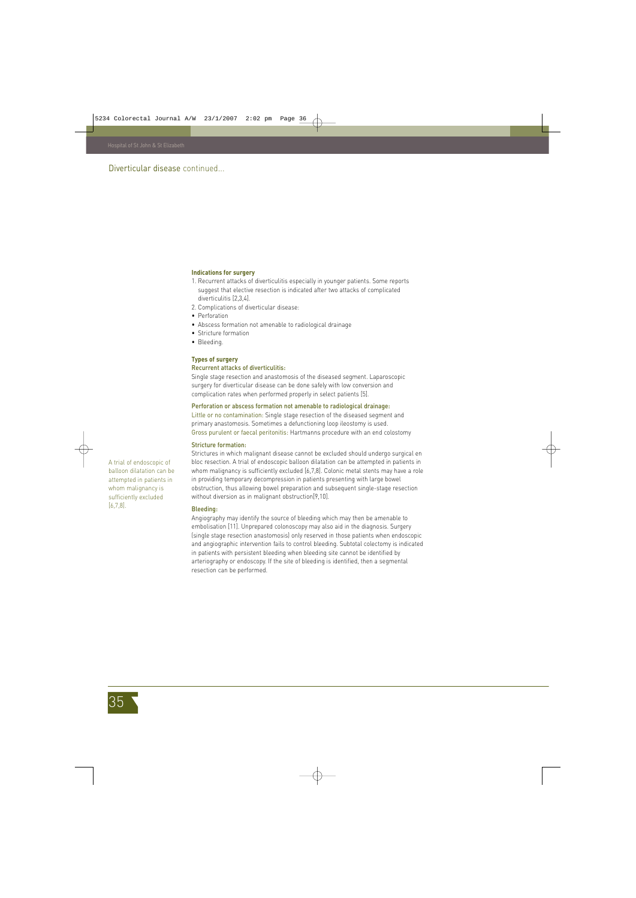#### **Indications for surgery**

- 1. Recurrent attacks of diverticulitis especially in younger patients. Some reports suggest that elective resection is indicated after two attacks of complicated diverticulitis [2,3,4].
- 2. Complications of diverticular disease:
- Perforation
- Abscess formation not amenable to radiological drainage
- Stricture formation
- Bleeding.

#### **Types of surgery**

#### Recurrent attacks of diverticulitis:

Single stage resection and anastomosis of the diseased segment. Laparoscopic surgery for diverticular disease can be done safely with low conversion and complication rates when performed properly in select patients [5].

#### Perforation or abscess formation not amenable to radiological drainage:

Little or no contamination: Single stage resection of the diseased segment and primary anastomosis. Sometimes a defunctioning loop ileostomy is used. Gross purulent or faecal peritonitis: Hartmanns procedure with an end colostomy

#### Stricture formation:

Strictures in which malignant disease cannot be excluded should undergo surgical en bloc resection. A trial of endoscopic balloon dilatation can be attempted in patients in whom malignancy is sufficiently excluded [6,7,8]. Colonic metal stents may have a role in providing temporary decompression in patients presenting with large bowel obstruction, thus allowing bowel preparation and subsequent single-stage resection without diversion as in malignant obstruction[9,10].

#### Bleeding:

Angiography may identify the source of bleeding which may then be amenable to embolisation [11]. Unprepared colonoscopy may also aid in the diagnosis. Surgery (single stage resection anastomosis) only reserved in those patients when endoscopic and angiographic intervention fails to control bleeding. Subtotal colectomy is indicated in patients with persistent bleeding when bleeding site cannot be identified by arteriography or endoscopy. If the site of bleeding is identified, then a segmental resection can be performed.

A trial of endoscopic of balloon dilatation can be attempted in patients in whom malignancy is sufficiently excluded [6,7,8].

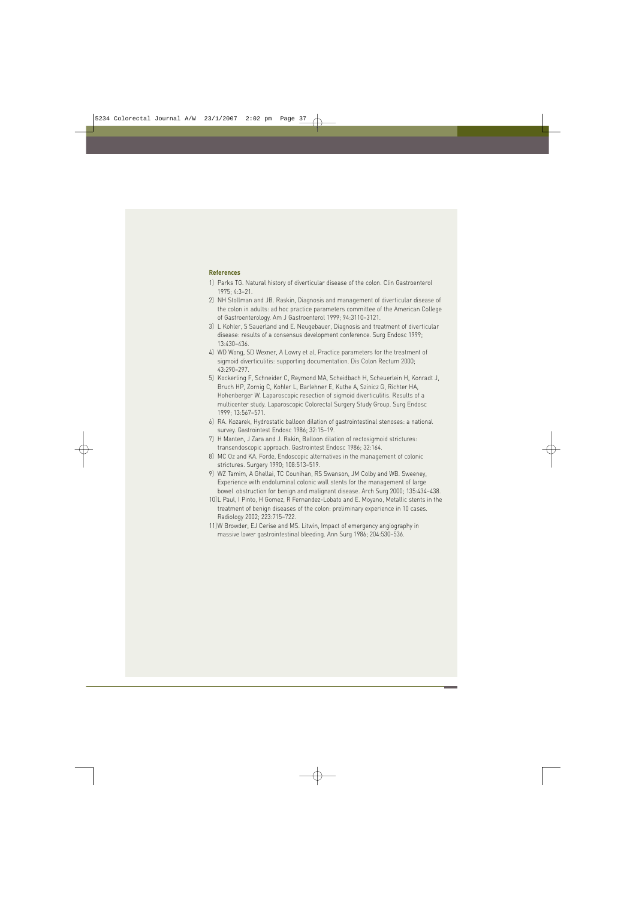#### **References**

- 1) Parks TG. Natural history of diverticular disease of the colon. Clin Gastroenterol 1975; 4:3–21.
- 2) NH Stollman and JB. Raskin, Diagnosis and management of diverticular disease of the colon in adults: ad hoc practice parameters committee of the American College of Gastroenterology. Am J Gastroenterol 1999; 94:3110–3121.
- 3) L Kohler, S Sauerland and E. Neugebauer, Diagnosis and treatment of diverticular disease: results of a consensus development conference. Surg Endosc 1999; 13:430–436.
- 4) WD Wong, SD Wexner, A Lowry et al, Practice parameters for the treatment of sigmoid diverticulitis: supporting documentation. Dis Colon Rectum 2000; 43:290–297.
- 5) Kockerling F, Schneider C, Reymond MA, Scheidbach H, Scheuerlein H, Konradt J, Bruch HP, Zornig C, Kohler L, Barlehner E, Kuthe A, Szinicz G, Richter HA, Hohenberger W. Laparoscopic resection of sigmoid diverticulitis. Results of a multicenter study. Laparoscopic Colorectal Surgery Study Group. Surg Endosc 1999; 13:567–571.
- 6) RA. Kozarek, Hydrostatic balloon dilation of gastrointestinal stenoses: a national survey. Gastrointest Endosc 1986; 32:15–19.
- 7) H Manten, J Zara and J. Rakin, Balloon dilation of rectosigmoid strictures: transendoscopic approach. Gastrointest Endosc 1986; 32:164.
- 8) MC Oz and KA. Forde, Endoscopic alternatives in the management of colonic strictures. Surgery 1990; 108:513–519.
- 9) WZ Tamim, A Ghellai, TC Counihan, RS Swanson, JM Colby and WB. Sweeney, Experience with endoluminal colonic wall stents for the management of large bowel obstruction for benign and malignant disease. Arch Surg 2000; 135:434–438.
- 10)L Paul, I Pinto, H Gomez, R Fernandez-Lobato and E. Moyano, Metallic stents in the treatment of benign diseases of the colon: preliminary experience in 10 cases. Radiology 2002; 223:715–722.
- 11)W Browder, EJ Cerise and MS. Litwin, Impact of emergency angiography in massive lower gastrointestinal bleeding. Ann Surg 1986; 204:530–536.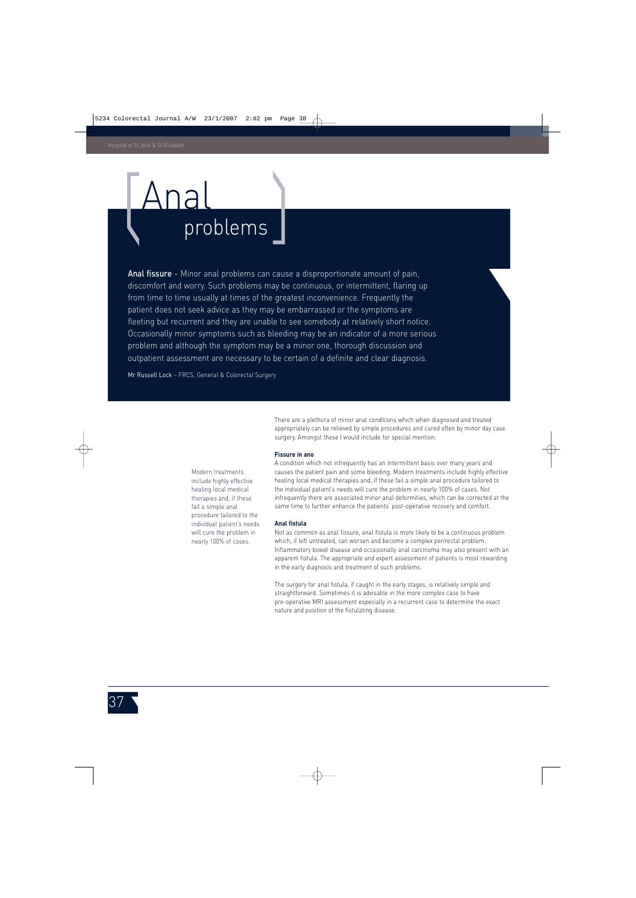### Anal problems

Anal fissure – Minor anal problems can cause a disproportionate amount of pain, discomfort and worry. Such problems may be continuous, or intermittent, flaring up from time to time usually at times of the greatest inconvenience. Frequently the patient does not seek advice as they may be embarrassed or the symptoms are fleeting but recurrent and they are unable to see somebody at relatively short notice. Occasionally minor symptoms such as bleeding may be an indicator of a more serious problem and although the symptom may be a minor one, thorough discussion and outpatient assessment are necessary to be certain of a definite and clear diagnosis.

Mr Russell Lock – FRCS, General & Colorectal Surgery

There are a plethora of minor anal conditions which when diagnosed and treated appropriately can be relieved by simple procedures and cured often by minor day case surgery. Amongst these I would include for special mention:

#### **Fissure in ano**

A condition which not infrequently has an intermittent basis over many years and causes the patient pain and some bleeding. Modern treatments include highly effective healing local medical therapies and, if these fail a simple anal procedure tailored to the individual patient's needs will cure the problem in nearly 100% of cases. Not infrequently there are associated minor anal deformities, which can be corrected at the same time to further enhance the patients' post-operative recovery and comfort.

#### **Anal fistula**

Not as common as anal fissure, anal fistula is more likely to be a continuous problem which, if left untreated, can worsen and become a complex perirectal problem. Inflammatory bowel disease and occasionally anal carcinoma may also present with an apparent fistula. The appropriate and expert assessment of patients is most rewarding in the early diagnosis and treatment of such problems.

The surgery for anal fistula, if caught in the early stages, is relatively simple and straightforward. Sometimes it is advisable in the more complex case to have pre-operative MRI assessment especially in a recurrent case to determine the exact nature and position of the fistulating disease.

Modern treatments include highly effective healing local medical therapies and, if these fail a simple anal procedure tailored to the individual patient's needs will cure the problem in nearly 100% of cases.

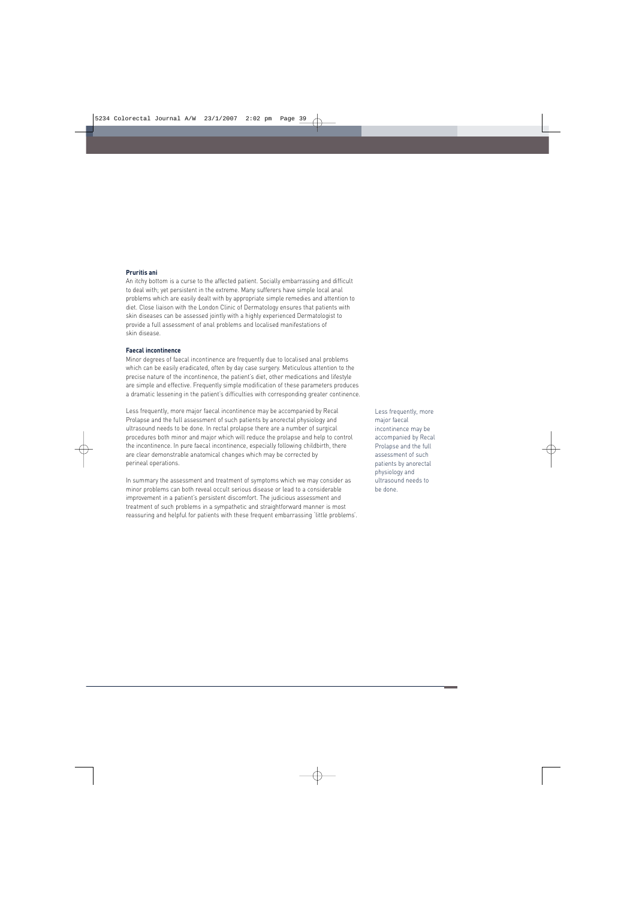#### **Pruritis ani**

An itchy bottom is a curse to the affected patient. Socially embarrassing and difficult to deal with; yet persistent in the extreme. Many sufferers have simple local anal problems which are easily dealt with by appropriate simple remedies and attention to diet. Close liaison with the London Clinic of Dermatology ensures that patients with skin diseases can be assessed jointly with a highly experienced Dermatologist to provide a full assessment of anal problems and localised manifestations of skin disease.

#### **Faecal incontinence**

Minor degrees of faecal incontinence are frequently due to localised anal problems which can be easily eradicated, often by day case surgery. Meticulous attention to the precise nature of the incontinence, the patient's diet, other medications and lifestyle are simple and effective. Frequently simple modification of these parameters produces a dramatic lessening in the patient's difficulties with corresponding greater continence.

Less frequently, more major faecal incontinence may be accompanied by Recal Prolapse and the full assessment of such patients by anorectal physiology and ultrasound needs to be done. In rectal prolapse there are a number of surgical procedures both minor and major which will reduce the prolapse and help to control the incontinence. In pure faecal incontinence, especially following childbirth, there are clear demonstrable anatomical changes which may be corrected by perineal operations.

In summary the assessment and treatment of symptoms which we may consider as minor problems can both reveal occult serious disease or lead to a considerable improvement in a patient's persistent discomfort. The judicious assessment and treatment of such problems in a sympathetic and straightforward manner is most reassuring and helpful for patients with these frequent embarrassing 'little problems'. Less frequently, more major faecal incontinence may be accompanied by Recal Prolapse and the full assessment of such patients by anorectal physiology and ultrasound needs to be done.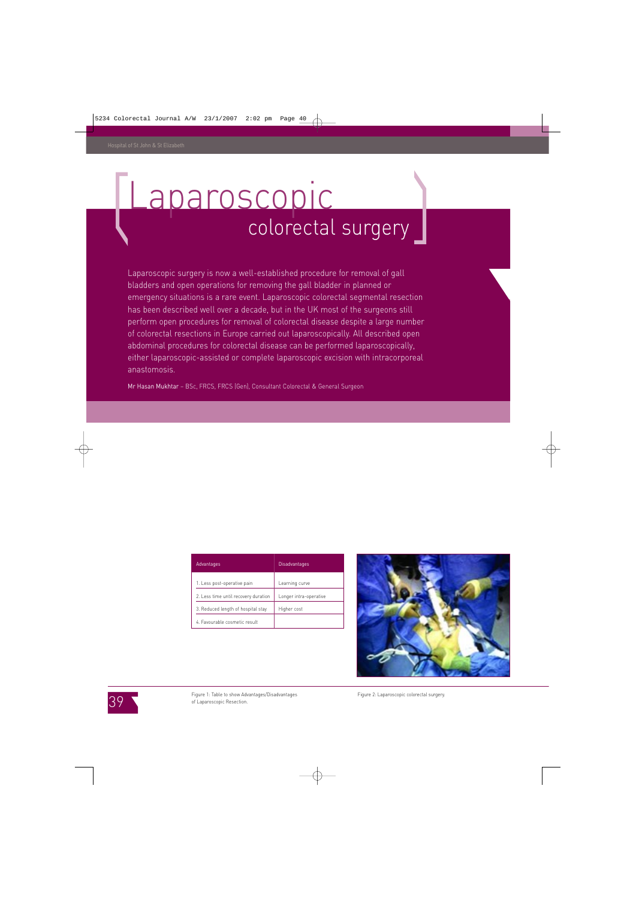### Laparoscopic colorectal surgery

Laparoscopic surgery is now a well-established procedure for removal of gall bladders and open operations for removing the gall bladder in planned or emergency situations is a rare event. Laparoscopic colorectal segmental resection has been described well over a decade, but in the UK most of the surgeons still perform open procedures for removal of colorectal disease despite a large number of colorectal resections in Europe carried out laparoscopically. All described open abdominal procedures for colorectal disease can be performed laparoscopically, either laparoscopic-assisted or complete laparoscopic excision with intracorporeal anastomosis.

Mr Hasan Mukhtar – BSc, FRCS, FRCS (Gen), Consultant Colorectal & General Surgeon

| <b>Advantages</b>                    | <b>Disadvantages</b>   |
|--------------------------------------|------------------------|
| 1. Less post-operative pain          | Learning curve         |
| 2. Less time until recovery duration | Longer intra-operative |
| 3. Reduced length of hospital stay   | Higher cost            |
| 4. Favourable cosmetic result        |                        |



39

Figure 1: Table to show Advantages/Disadvantages Figure 2: Laparoscopic colorectal surgery. of Laparoscopic Resection.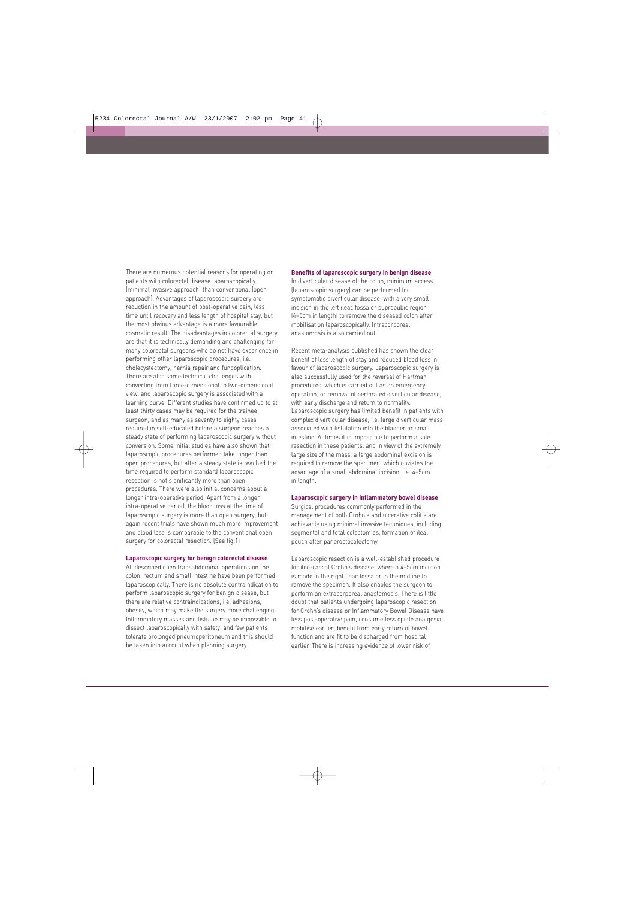There are numerous potential reasons for operating on patients with colorectal disease laparoscopically (minimal invasive approach) than conventional (open approach). Advantages of laparoscopic surgery are reduction in the amount of post-operative pain, less time until recovery and less length of hospital stay, but the most obvious advantage is a more favourable cosmetic result. The disadvantages in colorectal surgery are that it is technically demanding and challenging for many colorectal surgeons who do not have experience in performing other laparoscopic procedures, i.e. cholecystectomy, hernia repair and fundoplication. There are also some technical challenges with converting from three-dimensional to two-dimensional view, and laparoscopic surgery is associated with a learning curve. Different studies have confirmed up to at least thirty cases may be required for the trainee surgeon, and as many as seventy to eighty cases required in self-educated before a surgeon reaches a steady state of performing laparoscopic surgery without conversion. Some initial studies have also shown that laparoscopic procedures performed take longer than open procedures, but after a steady state is reached the time required to perform standard laparoscopic resection is not significantly more than open procedures. There were also initial concerns about a longer intra-operative period. Apart from a longer intra-operative period, the blood loss at the time of laparoscopic surgery is more than open surgery, but again recent trials have shown much more improvement and blood loss is comparable to the conventional open surgery for colorectal resection. (See fig.1)

#### **Laparoscopic surgery for benign colorectal disease**

All described open transabdominal operations on the colon, rectum and small intestine have been performed laparoscopically. There is no absolute contraindication to perform laparoscopic surgery for benign disease, but there are relative contraindications, i.e. adhesions, obesity, which may make the surgery more challenging. Inflammatory masses and fistulae may be impossible to dissect laparoscopically with safety, and few patients tolerate prolonged pneumoperitoneum and this should be taken into account when planning surgery.

#### **Benefits of laparoscopic surgery in benign disease**

In diverticular disease of the colon, minimum access (laparoscopic surgery) can be performed for symptomatic diverticular disease, with a very small incision in the left ileac fossa or suprapubic region (4–5cm in length) to remove the diseased colon after mobilisation laparoscopically. Intracorporeal anastomosis is also carried out.

Recent meta-analysis published has shown the clear benefit of less length of stay and reduced blood loss in favour of laparoscopic surgery. Laparoscopic surgery is also successfully used for the reversal of Hartman procedures, which is carried out as an emergency operation for removal of perforated diverticular disease, with early discharge and return to normality. Laparoscopic surgery has limited benefit in patients with complex diverticular disease, i.e. large diverticular mass associated with fistulation into the bladder or small intestine. At times it is impossible to perform a safe resection in these patients, and in view of the extremely large size of the mass, a large abdominal excision is required to remove the specimen, which obviates the advantage of a small abdominal incision, i.e. 4–5cm in length.

#### **Laparoscopic surgery in inflammatory bowel disease**

Surgical procedures commonly performed in the management of both Crohn's and ulcerative colitis are achievable using minimal invasive techniques, including segmental and total colectomies, formation of ileal pouch after panproctocolectomy.

Laparoscopic resection is a well-established procedure for ileo-caecal Crohn's disease, where a 4–5cm incision is made in the right ileac fossa or in the midline to remove the specimen. It also enables the surgeon to perform an extracorporeal anastomosis. There is little doubt that patients undergoing laparoscopic resection for Crohn's disease or Inflammatory Bowel Disease have less post-operative pain, consume less opiate analgesia, mobilise earlier, benefit from early return of bowel function and are fit to be discharged from hospital earlier. There is increasing evidence of lower risk of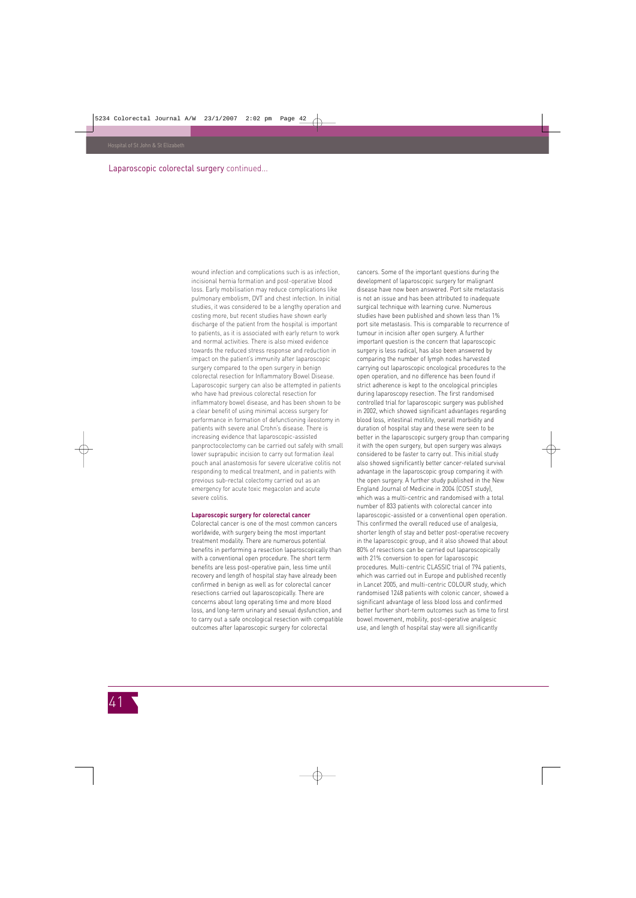#### Laparoscopic colorectal surgery continued...

wound infection and complications such is as infection, incisional hernia formation and post-operative blood loss. Early mobilisation may reduce complications like pulmonary embolism, DVT and chest infection. In initial studies, it was considered to be a lengthy operation and costing more, but recent studies have shown early discharge of the patient from the hospital is important to patients, as it is associated with early return to work and normal activities. There is also mixed evidence towards the reduced stress response and reduction in impact on the patient's immunity after laparoscopic surgery compared to the open surgery in benign colorectal resection for Inflammatory Bowel Disease. Laparoscopic surgery can also be attempted in patients who have had previous colorectal resection for inflammatory bowel disease, and has been shown to be a clear benefit of using minimal access surgery for performance in formation of defunctioning ileostomy in patients with severe anal Crohn's disease. There is increasing evidence that laparoscopic-assisted panproctocolectomy can be carried out safely with small lower suprapubic incision to carry out formation ileal pouch anal anastomosis for severe ulcerative colitis not responding to medical treatment, and in patients with previous sub-rectal colectomy carried out as an emergency for acute toxic megacolon and acute severe colitis.

#### **Laparoscopic surgery for colorectal cancer**

Colorectal cancer is one of the most common cancers worldwide, with surgery being the most important treatment modality. There are numerous potential benefits in performing a resection laparoscopically than with a conventional open procedure. The short term benefits are less post-operative pain, less time until recovery and length of hospital stay have already been confirmed in benign as well as for colorectal cancer resections carried out laparoscopically. There are concerns about long operating time and more blood loss, and long-term urinary and sexual dysfunction, and to carry out a safe oncological resection with compatible outcomes after laparoscopic surgery for colorectal

cancers. Some of the important questions during the development of laparoscopic surgery for malignant disease have now been answered. Port site metastasis is not an issue and has been attributed to inadequate surgical technique with learning curve. Numerous studies have been published and shown less than 1% port site metastasis. This is comparable to recurrence of tumour in incision after open surgery. A further important question is the concern that laparoscopic surgery is less radical, has also been answered by comparing the number of lymph nodes harvested carrying out laparoscopic oncological procedures to the open operation, and no difference has been found if strict adherence is kept to the oncological principles during laparoscopy resection. The first randomised controlled trial for laparoscopic surgery was published in 2002, which showed significant advantages regarding blood loss, intestinal motility, overall morbidity and duration of hospital stay and these were seen to be better in the laparoscopic surgery group than comparing it with the open surgery, but open surgery was always considered to be faster to carry out. This initial study also showed significantly better cancer-related survival advantage in the laparoscopic group comparing it with the open surgery. A further study published in the New England Journal of Medicine in 2004 (COST study), which was a multi-centric and randomised with a total number of 833 patients with colorectal cancer into laparoscopic-assisted or a conventional open operation. This confirmed the overall reduced use of analgesia, shorter length of stay and better post-operative recovery in the laparoscopic group, and it also showed that about 80% of resections can be carried out laparoscopically with 21% conversion to open for laparoscopic procedures. Multi-centric CLASSIC trial of 794 patients, which was carried out in Europe and published recently in Lancet 2005, and multi-centric COLOUR study, which randomised 1248 patients with colonic cancer, showed a significant advantage of less blood loss and confirmed better further short-term outcomes such as time to first bowel movement, mobility, post-operative analgesic use, and length of hospital stay were all significantly

41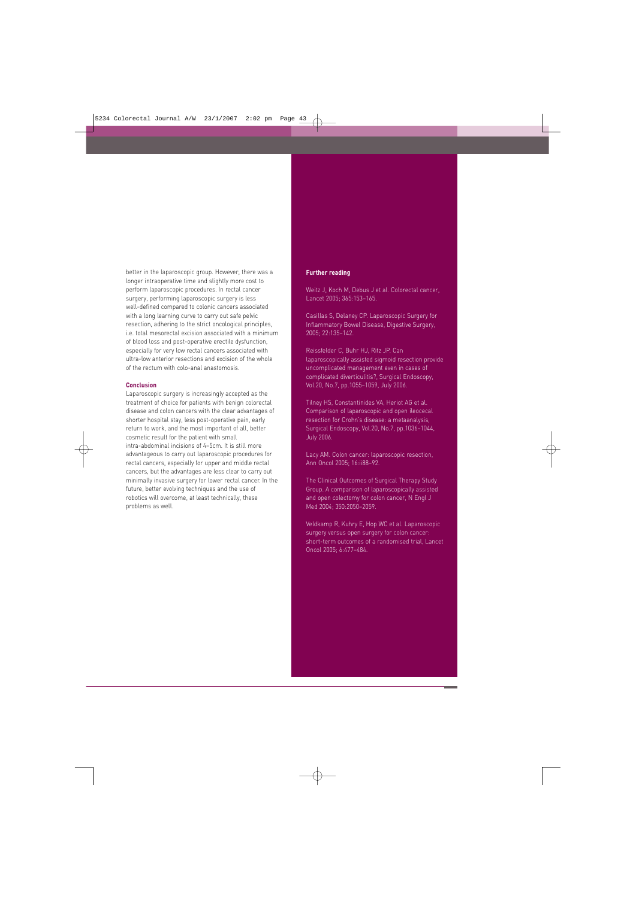better in the laparoscopic group. However, there was a longer intraoperative time and slightly more cost to perform laparoscopic procedures. In rectal cancer surgery, performing laparoscopic surgery is less well-defined compared to colonic cancers associated with a long learning curve to carry out safe pelvic resection, adhering to the strict oncological principles, i.e. total mesorectal excision associated with a minimum of blood loss and post-operative erectile dysfunction, especially for very low rectal cancers associated with ultra-low anterior resections and excision of the whole of the rectum with colo-anal anastomosis.

#### **Conclusion**

Laparoscopic surgery is increasingly accepted as the treatment of choice for patients with benign colorectal disease and colon cancers with the clear advantages of shorter hospital stay, less post-operative pain, early return to work, and the most important of all, better cosmetic result for the patient with small intra-abdominal incisions of 4–5cm. It is still more advantageous to carry out laparoscopic procedures for rectal cancers, especially for upper and middle rectal cancers, but the advantages are less clear to carry out minimally invasive surgery for lower rectal cancer. In the future, better evolving techniques and the use of robotics will overcome, at least technically, these problems as well.

#### **Further reading**

Weitz J, Koch M, Debus J et al. Colorectal cancer, Lancet 2005; 365:153–165.

Casillas S, Delaney CP. Laparoscopic Surgery for Inflammatory Bowel Disease, Digestive Surgery, 2005; 22:135–142.

Reissfelder C, Buhr HJ, Ritz JP. Can laparoscopically assisted sigmoid resection provide uncomplicated management even in cases of complicated diverticulitis?, Surgical Endoscopy, Vol.20, No.7, pp.1055–1059, July 2006.

Tilney HS, Constantinides VA, Heriot AG et al. Comparison of laparoscopic and open ileocecal resection for Crohn's disease: a metaanalysis, Surgical Endoscopy, Vol.20, No.7, pp.1036–1044, July 2006.

Lacy AM. Colon cancer: laparoscopic resection, Ann Oncol 2005; 16:ii88–92.

The Clinical Outcomes of Surgical Therapy Study Group. A comparison of laparoscopically assisted and open colectomy for colon cancer, N Engl J Med 2004; 350:2050–2059.

Veldkamp R, Kuhry E, Hop WC et al. Laparoscopic surgery versus open surgery for colon cancer: short-term outcomes of a randomised trial, Lancet Oncol 2005; 6:477–484.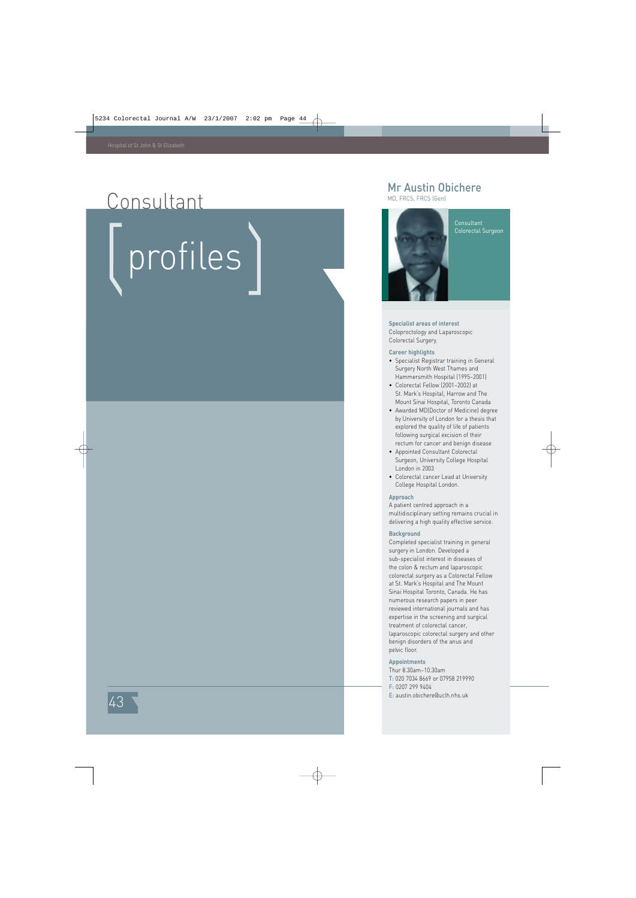### Consultant

# profiles

#### Mr Austin Obichere

MD, FRCS, FRCS (Gen)



Consultant Colorectal Surgeon

#### **Specialist areas of interest**

Coloproctology and Laparoscopic Colorectal Surgery.

#### **Career highlights**

- Specialist Registrar training in General Surgery North West Thames and Hammersmith Hospital (1995–2001)
- Colorectal Fellow (2001–2002) at St. Mark's Hospital, Harrow and The Mount Sinai Hospital, Toronto Canada
- Awarded MD(Doctor of Medicine) degree by University of London for a thesis that explored the quality of life of patients following surgical excision of their rectum for cancer and benign disease
- Appointed Consultant Colorectal Surgeon, University College Hospital London in 2003
- Colorectal cancer Lead at University College Hospital London.

#### **Approach**

A patient centred approach in a multidisciplinary setting remains crucial in delivering a high quality effective service.

#### **Background**

Completed specialist training in general surgery in London. Developed a sub-specialist interest in diseases of the colon & rectum and laparoscopic colorectal surgery as a Colorectal Fellow at St. Mark's Hospital and The Mount Sinai Hospital Toronto, Canada. He has numerous research papers in peer reviewed international journals and has expertise in the screening and surgical treatment of colorectal cancer, laparoscopic colorectal surgery and other benign disorders of the anus and pelvic floor.

#### **Appointments**

Thur 8.30am–10.30am

- T: 020 7034 8669 or 07958 219990
- F: 0207 299 9404
- E: austin.obichere@uclh.nhs.uk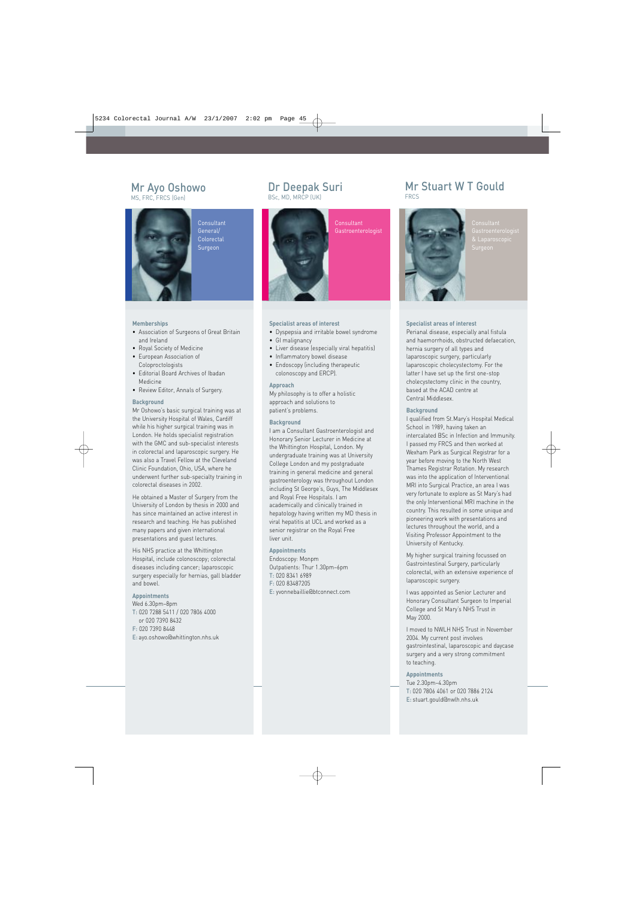#### Mr Ayo Oshowo MS, FRC, FRCS (Gen)

**Consultant** General/ Colorectal Surgeon

#### **Memberships**

- Association of Surgeons of Great Britain and Ireland
- Royal Society of Medicine
- European Association of Coloproctologists
- Editorial Board Archives of Ibadan Medicine
- Review Editor, Annals of Surgery.

#### **Background**

Mr Oshowo's basic surgical training was at the University Hospital of Wales, Cardiff while his higher surgical training was in London. He holds specialist registration with the GMC and sub-specialist interests in colorectal and laparoscopic surgery. He was also a Travel Fellow at the Cleveland Clinic Foundation, Ohio, USA, where he underwent further sub-specialty training in colorectal diseases in 2002.

He obtained a Master of Surgery from the University of London by thesis in 2000 and has since maintained an active interest in research and teaching. He has published many papers and given international presentations and guest lectures.

His NHS practice at the Whittington Hospital, include colonoscopy; colorectal diseases including cancer; laparoscopic surgery especially for hernias, gall bladder and bowel.

#### **Appointments**

Wed 6.30pm–8pm T: 020 7288 5411 / 020 7806 4000 or 020 7390 8432 F: 020 7390 8448 E: ayo.oshowo@whittington.nhs.uk

#### Dr Deepak Suri

BSc, MD, MRCP (UK)



#### **Specialist areas of interest**

- Dyspepsia and irritable bowel syndrome
- GI malignancy
- Liver disease (especially viral hepatitis)
- Inflammatory bowel disease
- Endoscopy (including therapeutic colonoscopy and ERCP).

#### **Approach**

My philosophy is to offer a holistic approach and solutions to patient's problems.

#### **Background**

I am a Consultant Gastroenterologist and Honorary Senior Lecturer in Medicine at the Whittington Hospital, London. My undergraduate training was at University College London and my postgraduate training in general medicine and general gastroenterology was throughout London including St George's, Guys, The Middlesex and Royal Free Hospitals. I am academically and clinically trained in hepatology having written my MD thesis in viral hepatitis at UCL and worked as a senior registrar on the Royal Free liver unit.

#### **Appointments**

Endoscopy: Monpm Outpatients: Thur 1.30pm–6pm T: 020 8341 6989 F: 020 83487205 E: yvonnebaillie@btconnect.com

#### Mr Stuart W T Gould FRCS



Consultant

#### **Specialist areas of interest**

Perianal disease, especially anal fistula and haemorrhoids, obstructed defaecation, hernia surgery of all types and laparoscopic surgery, particularly laparoscopic cholecystectomy. For the latter I have set up the first one-stop cholecystectomy clinic in the country, based at the ACAD centre at Central Middlesex.

#### **Background**

I qualified from St.Mary's Hospital Medical School in 1989, having taken an intercalated BSc in Infection and Immunity. I passed my FRCS and then worked at Wexham Park as Surgical Registrar for a year before moving to the North West Thames Registrar Rotation. My research was into the application of Interventional MRI into Surgical Practice, an area I was very fortunate to explore as St Mary's had the only Interventional MRI machine in the country. This resulted in some unique and pioneering work with presentations and lectures throughout the world, and a Visiting Professor Appointment to the University of Kentucky.

My higher surgical training focussed on Gastrointestinal Surgery, particularly colorectal, with an extensive experience of laparoscopic surgery.

I was appointed as Senior Lecturer and Honorary Consultant Surgeon to Imperial College and St Mary's NHS Trust in May 2000.

I moved to NWLH NHS Trust in November 2004. My current post involves gastrointestinal, laparoscopic and daycase surgery and a very strong commitment to teaching.

#### **Appointments**

Tue 2.30pm–4.30pm T: 020 7806 4061 or 020 7886 2124 E: stuart.gould@nwlh.nhs.uk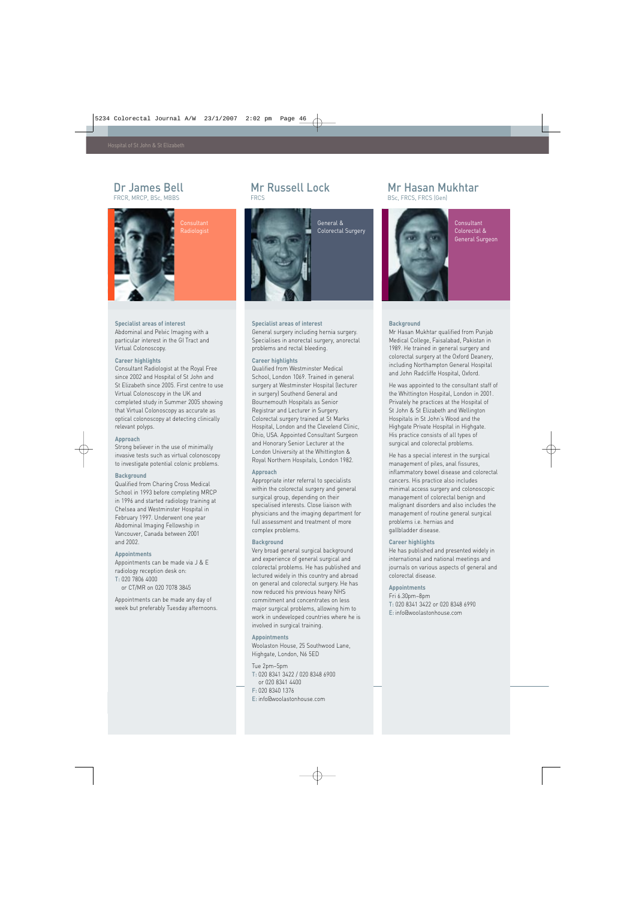#### Dr James Bell FRCR, MRCP, BSc, MBBS



**Consultant Radiologist** 

#### **Specialist areas of interest**

Abdominal and Pelvic Imaging with a particular interest in the GI Tract and Virtual Colonoscopy.

#### **Career highlights**

Consultant Radiologist at the Royal Free since 2002 and Hospital of St John and St Elizabeth since 2005. First centre to use Virtual Colonoscopy in the UK and completed study in Summer 2005 showing that Virtual Colonoscopy as accurate as optical colonoscopy at detecting clinically relevant polyps.

#### **Approach**

Strong believer in the use of minimally invasive tests such as virtual colonoscopy to investigate potential colonic problems.

#### **Background**

Qualified from Charing Cross Medical School in 1993 before completing MRCP in 1996 and started radiology training at Chelsea and Westminster Hospital in February 1997. Underwent one year Abdominal Imaging Fellowship in Vancouver, Canada between 2001 and 2002.

#### **Appointments**

Appointments can be made via J & E radiology reception desk on: T: 020 7806 4000 or CT/MR on 020 7078 3845

Appointments can be made any day of week but preferably Tuesday afternoons.

#### Mr Russell Lock **FRCS**



**Specialist areas of interest**

problems and rectal bleeding.

Qualified from Westminster Medical School, London 1069. Trained in general surgery at Westminster Hospital (lecturer in surgery) Southend General and Bournemouth Hospitals as Senior Registrar and Lecturer in Surgery. Colorectal surgery trained at St Marks Hospital, London and the Clevelend Clinic, Ohio, USA. Appointed Consultant Surgeon and Honorary Senior Lecturer at the London University at the Whittington & Royal Northern Hospitals, London 1982.

Appropriate inter referral to specialists within the colorectal surgery and general surgical group, depending on their specialised interests. Close liaison with physicians and the imaging department for full assessment and treatment of more

Very broad general surgical background and experience of general surgical and colorectal problems. He has published and lectured widely in this country and abroad on general and colorectal surgery. He has now reduced his previous heavy NHS commitment and concentrates on less major surgical problems, allowing him to work in undeveloped countries where he is

**Career highlights**

**Approach** 

complex problems. **Background**

involved in surgical training.

Highgate, London, N6 5ED

or 020 8341 4400 F: 020 8340 1376

T: 020 8341 3422 / 020 8348 6900

E: info@woolastonhouse.com

Woolaston House, 25 Southwood Lane,

**Appointments**

Tue 2pm–5pm

General surgery including hernia surgery. Specialises in anorectal surgery, anorectal

#### General & Colorectal Surgery



#### Consultant Colorectal & General Surgeon

#### **Background**

Mr Hasan Mukhtar qualified from Punjab Medical College, Faisalabad, Pakistan in 1989. He trained in general surgery and colorectal surgery at the Oxford Deanery, including Northampton General Hospital and John Radcliffe Hospital, Oxford.

He was appointed to the consultant staff of the Whittington Hospital, London in 2001. Privately he practices at the Hospital of St John & St Elizabeth and Wellington Hospitals in St John's Wood and the Highgate Private Hospital in Highgate. His practice consists of all types of surgical and colorectal problems.

He has a special interest in the surgical management of piles, anal fissures, inflammatory bowel disease and colorectal cancers. His practice also includes minimal access surgery and colonoscopic management of colorectal benign and malignant disorders and also includes the management of routine general surgical problems i.e. hernias and gallbladder disease.

#### **Career highlights**

He has published and presented widely in international and national meetings and journals on various aspects of general and colorectal disease.

#### **Appointments**

Fri 6.30pm–8pm T: 020 8341 3422 or 020 8348 6990 E: info@woolastonhouse.com



BSc, FRCS, FRCS (Gen)

Mr Hasan Mukhtar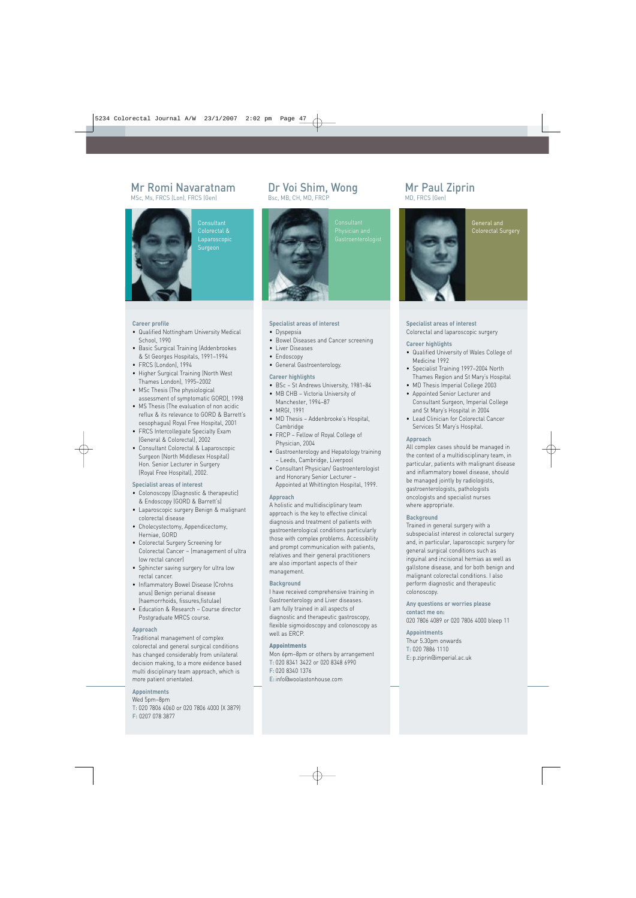#### Mr Romi Navaratnam

MSc, Ms, FRCS (Lon), FRCS (Gen)



**Consultant** Colorectal & Laparoscopic **Surgeon** 

#### **Career profile**

- Qualified Nottingham University Medical School, 1990
- Basic Surgical Training (Addenbrookes & St Georges Hospitals, 1991–1994
- FRCS (London), 1994
- Higher Surgical Training (North West Thames London), 1995–2002
- MSc Thesis (The physiological assessment of symptomatic GORD), 1998
- MS Thesis (The evaluation of non acidic reflux & its relevance to GORD & Barrett's oesophagus) Royal Free Hospital, 2001
- FRCS Intercollegiate Specialty Exam (General & Colorectal), 2002
- Consultant Colorectal & Laparoscopic Surgeon (North Middlesex Hospital) Hon. Senior Lecturer in Surgery (Royal Free Hospital), 2002.

#### **Specialist areas of interest**

- Colonoscopy (Diagnostic & therapeutic) & Endoscopy (GORD & Barrett's)
- Laparoscopic surgery Benign & malignant colorectal disease
- Cholecystectomy, Appendicectomy, Herniae, GORD
- Colorectal Surgery Screening for Colorectal Cancer – (management of ultra low rectal cancer)
- Sphincter saving surgery for ultra low rectal cancer.
- Inflammatory Bowel Disease (Crohns anus) Benign perianal disease (haemorrhoids, fissures,fistulae)
- Education & Research Course director Postgraduate MRCS course.

#### **Approach**

Traditional management of complex colorectal and general surgical conditions has changed considerably from unilateral decision making, to a more evidence based multi disciplinary team approach, which is more patient orientated.

#### **Appointments**

Wed 5pm–8pm T: 020 7806 4060 or 020 7806 4000 (X 3879) F: 0207 078 3877

#### Dr Voi Shim, Wong

Bsc, MB, CH, MD, FRCP



#### **Specialist areas of interest**

- Dyspepsia
- Bowel Diseases and Cancer screening
- Liver Diseases
- Endoscopy
- General Gastroenterology.

#### **Career highlights**

- BSc St Andrews University, 1981–84
- MB CHB Victoria University of Manchester, 1994–87
- MRGI 1991
- MD Thesis Addenbrooke's Hospital, Cambridge
- FRCP Fellow of Royal College of Physician, 2004
- Gastroenterology and Hepatology training – Leeds, Cambridge, Liverpool
- Consultant Physician/ Gastroenterologist and Honorary Senior Lecturer – Appointed at Whittington Hospital, 1999.

#### **Approach**

A holistic and multidisciplinary team approach is the key to effective clinical diagnosis and treatment of patients with gastroenterological conditions particularly those with complex problems. Accessibility and prompt communication with patients, relatives and their general practitioners are also important aspects of their management.

#### **Background**

I have received comprehensive training in Gastroenterology and Liver diseases. I am fully trained in all aspects of diagnostic and therapeutic gastroscopy, flexible sigmoidoscopy and colonoscopy as well as ERCP.

#### Appointments

Mon 6pm–8pm or others by arrangement T: 020 8341 3422 or 020 8348 6990 F: 020 8340 1376 E: info@woolastonhouse.com

#### Mr Paul Ziprin MD, FRCS (Gen)



#### General and Colorectal Surgery

#### **Specialist areas of interest** Colorectal and laparoscopic surgery

#### **Career highlights**

- Qualified University of Wales College of Medicine 1992
- Specialist Training 1997–2004 North Thames Region and St Mary's Hospital
- MD Thesis Imperial College 2003
- Appointed Senior Lecturer and Consultant Surgeon, Imperial College and St Mary's Hospital in 2004
- Lead Clinician for Colorectal Cancer Services St Mary's Hospital.

#### **Approach**

All complex cases should be managed in the context of a multidisciplinary team, in particular, patients with malignant disease and inflammatory bowel disease, should be managed jointly by radiologists, gastroenterologists, pathologists oncologists and specialist nurses where appropriate.

#### **Background**

Trained in general surgery with a subspecialist interest in colorectal surgery and, in particular, laparoscopic surgery for general surgical conditions such as inguinal and incisional hernias as well as gallstone disease, and for both benign and malignant colorectal conditions. I also perform diagnostic and therapeutic colonoscopy.

#### **Any questions or worries please contact me on:**

020 7806 4089 or 020 7806 4000 bleep 11

#### **Appointments**

Thur 5.30pm onwards T: 020 7886 1110 E: p.ziprin@imperial.ac.uk